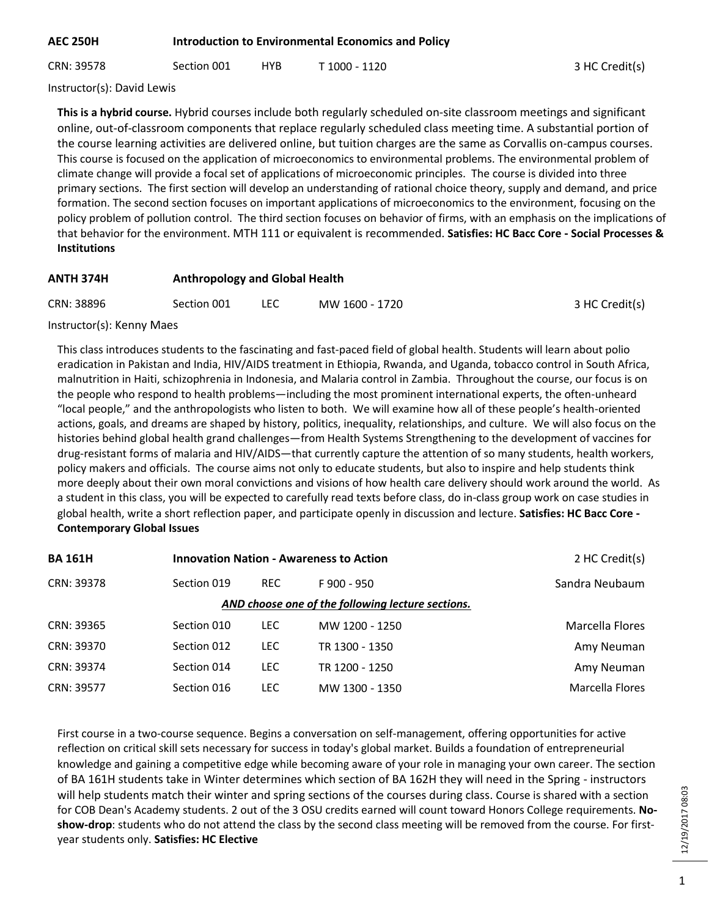CRN: 39578 Section 001 HYB T 1000 - 1120 3HC Credit(s)

Instructor(s): David Lewis

**This is a hybrid course.** Hybrid courses include both regularly scheduled on-site classroom meetings and significant online, out-of-classroom components that replace regularly scheduled class meeting time. A substantial portion of the course learning activities are delivered online, but tuition charges are the same as Corvallis on-campus courses. This course is focused on the application of microeconomics to environmental problems. The environmental problem of climate change will provide a focal set of applications of microeconomic principles. The course is divided into three primary sections. The first section will develop an understanding of rational choice theory, supply and demand, and price formation. The second section focuses on important applications of microeconomics to the environment, focusing on the policy problem of pollution control. The third section focuses on behavior of firms, with an emphasis on the implications of that behavior for the environment. MTH 111 or equivalent is recommended. **Satisfies: HC Bacc Core - Social Processes & Institutions**

#### **ANTH 374H Anthropology and Global Health**

| CRN: 38896 | Section 001 |  | MW 1600 - 1720 | 3 HC Credit(s) |
|------------|-------------|--|----------------|----------------|
|------------|-------------|--|----------------|----------------|

Instructor(s): Kenny Maes

This class introduces students to the fascinating and fast-paced field of global health. Students will learn about polio eradication in Pakistan and India, HIV/AIDS treatment in Ethiopia, Rwanda, and Uganda, tobacco control in South Africa, malnutrition in Haiti, schizophrenia in Indonesia, and Malaria control in Zambia. Throughout the course, our focus is on the people who respond to health problems—including the most prominent international experts, the often-unheard "local people," and the anthropologists who listen to both. We will examine how all of these people's health-oriented actions, goals, and dreams are shaped by history, politics, inequality, relationships, and culture. We will also focus on the histories behind global health grand challenges—from Health Systems Strengthening to the development of vaccines for drug-resistant forms of malaria and HIV/AIDS—that currently capture the attention of so many students, health workers, policy makers and officials. The course aims not only to educate students, but also to inspire and help students think more deeply about their own moral convictions and visions of how health care delivery should work around the world. As a student in this class, you will be expected to carefully read texts before class, do in-class group work on case studies in global health, write a short reflection paper, and participate openly in discussion and lecture. **Satisfies: HC Bacc Core - Contemporary Global Issues**

| <b>BA161H</b> |             | <b>Innovation Nation - Awareness to Action</b> |                                                   |                 |
|---------------|-------------|------------------------------------------------|---------------------------------------------------|-----------------|
| CRN: 39378    | Section 019 | <b>REC</b>                                     | F 900 - 950                                       | Sandra Neubaum  |
|               |             |                                                | AND choose one of the following lecture sections. |                 |
| CRN: 39365    | Section 010 | LEC.                                           | MW 1200 - 1250                                    | Marcella Flores |
| CRN: 39370    | Section 012 | <b>LEC</b>                                     | TR 1300 - 1350                                    | Amy Neuman      |
| CRN: 39374    | Section 014 | <b>LEC</b>                                     | TR 1200 - 1250                                    | Amy Neuman      |
| CRN: 39577    | Section 016 | LEC.                                           | MW 1300 - 1350                                    | Marcella Flores |
|               |             |                                                |                                                   |                 |

First course in a two-course sequence. Begins a conversation on self-management, offering opportunities for active reflection on critical skill sets necessary for success in today's global market. Builds a foundation of entrepreneurial knowledge and gaining a competitive edge while becoming aware of your role in managing your own career. The section of BA 161H students take in Winter determines which section of BA 162H they will need in the Spring - instructors will help students match their winter and spring sections of the courses during class. Course is shared with a section for COB Dean's Academy students. 2 out of the 3 OSU credits earned will count toward Honors College requirements. **Noshow-drop**: students who do not attend the class by the second class meeting will be removed from the course. For firstyear students only. **Satisfies: HC Elective**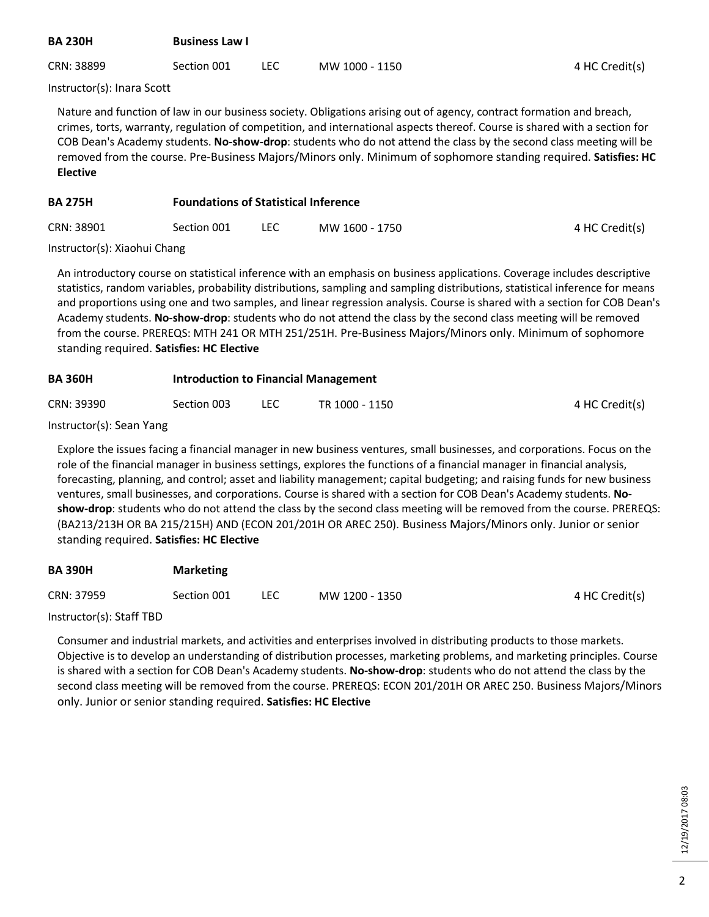| <b>BA 230H</b> | <b>Business Law I</b> |  |                |                |  |  |
|----------------|-----------------------|--|----------------|----------------|--|--|
| CRN: 38899     | Section 001           |  | MW 1000 - 1150 | 4 HC Credit(s) |  |  |

Instructor(s): Inara Scott

Nature and function of law in our business society. Obligations arising out of agency, contract formation and breach, crimes, torts, warranty, regulation of competition, and international aspects thereof. Course is shared with a section for COB Dean's Academy students. **No-show-drop**: students who do not attend the class by the second class meeting will be removed from the course. Pre-Business Majors/Minors only. Minimum of sophomore standing required. **Satisfies: HC Elective**

| <b>BA 275H</b> | <b>Foundations of Statistical Inference</b> |      |                |                |  |
|----------------|---------------------------------------------|------|----------------|----------------|--|
| CRN: 38901     | Section 001                                 | LEC. | MW 1600 - 1750 | 4 HC Credit(s) |  |

Instructor(s): Xiaohui Chang

An introductory course on statistical inference with an emphasis on business applications. Coverage includes descriptive statistics, random variables, probability distributions, sampling and sampling distributions, statistical inference for means and proportions using one and two samples, and linear regression analysis. Course is shared with a section for COB Dean's Academy students. **No-show-drop**: students who do not attend the class by the second class meeting will be removed from the course. PREREQS: MTH 241 OR MTH 251/251H. Pre-Business Majors/Minors only. Minimum of sophomore standing required. **Satisfies: HC Elective**

| <b>BA360H</b> | Introduction to Financial Management |     |                |                |  |  |
|---------------|--------------------------------------|-----|----------------|----------------|--|--|
| CRN: 39390    | Section 003                          | LEC | TR 1000 - 1150 | 4 HC Credit(s) |  |  |

Instructor(s): Sean Yang

Explore the issues facing a financial manager in new business ventures, small businesses, and corporations. Focus on the role of the financial manager in business settings, explores the functions of a financial manager in financial analysis, forecasting, planning, and control; asset and liability management; capital budgeting; and raising funds for new business ventures, small businesses, and corporations. Course is shared with a section for COB Dean's Academy students. **Noshow-drop**: students who do not attend the class by the second class meeting will be removed from the course. PREREQS: (BA213/213H OR BA 215/215H) AND (ECON 201/201H OR AREC 250). Business Majors/Minors only. Junior or senior standing required. **Satisfies: HC Elective**

| <b>BA390H</b> | <b>Marketing</b> |      |                |                |
|---------------|------------------|------|----------------|----------------|
| CRN: 37959    | Section 001      | LEC. | MW 1200 - 1350 | 4 HC Credit(s) |
|               |                  |      |                |                |

Instructor(s): Staff TBD

Consumer and industrial markets, and activities and enterprises involved in distributing products to those markets. Objective is to develop an understanding of distribution processes, marketing problems, and marketing principles. Course is shared with a section for COB Dean's Academy students. **No-show-drop**: students who do not attend the class by the second class meeting will be removed from the course. PREREQS: ECON 201/201H OR AREC 250. Business Majors/Minors only. Junior or senior standing required. **Satisfies: HC Elective**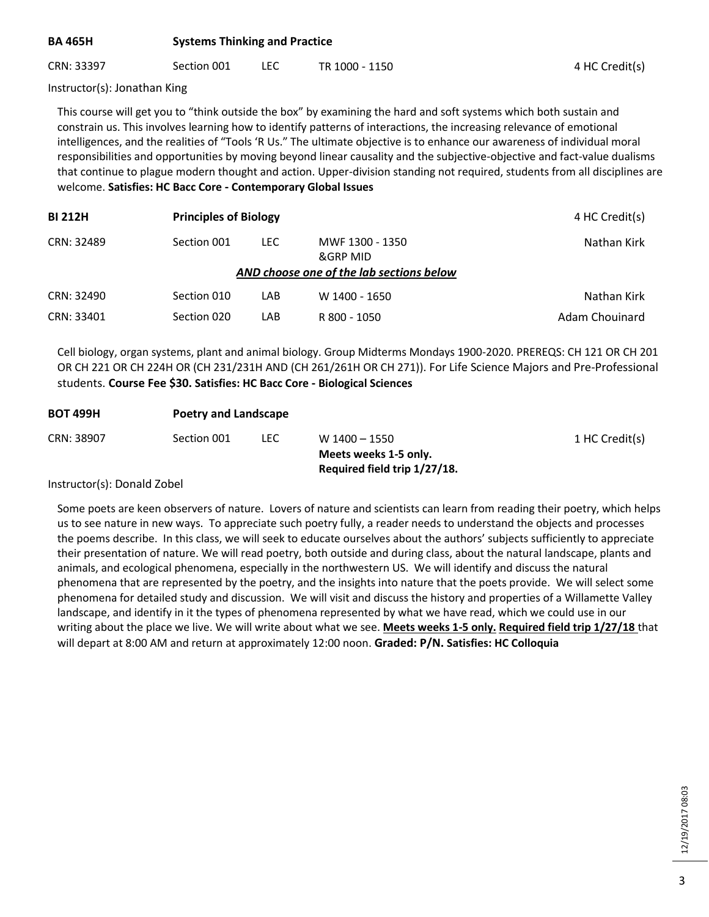# **BA 465H Systems Thinking and Practice**

CRN: 33397 Section 001 LEC TR 1000 - 1150 7 17 1000 - 1150

Instructor(s): Jonathan King

This course will get you to "think outside the box" by examining the hard and soft systems which both sustain and constrain us. This involves learning how to identify patterns of interactions, the increasing relevance of emotional intelligences, and the realities of "Tools 'R Us." The ultimate objective is to enhance our awareness of individual moral responsibilities and opportunities by moving beyond linear causality and the subjective-objective and fact-value dualisms that continue to plague modern thought and action. Upper-division standing not required, students from all disciplines are welcome. **Satisfies: HC Bacc Core - Contemporary Global Issues**

| <b>BI 212H</b> |                                          | <b>Principles of Biology</b> |                             |                |  |  |  |
|----------------|------------------------------------------|------------------------------|-----------------------------|----------------|--|--|--|
| CRN: 32489     | Section 001                              | LEC.                         | MWF 1300 - 1350<br>&GRP MID | Nathan Kirk    |  |  |  |
|                | AND choose one of the lab sections below |                              |                             |                |  |  |  |
| CRN: 32490     | Section 010                              | LAB                          | W 1400 - 1650               | Nathan Kirk    |  |  |  |
| CRN: 33401     | Section 020                              | LAB                          | R 800 - 1050                | Adam Chouinard |  |  |  |

Cell biology, organ systems, plant and animal biology. Group Midterms Mondays 1900-2020. PREREQS: CH 121 OR CH 201 OR CH 221 OR CH 224H OR (CH 231/231H AND (CH 261/261H OR CH 271)). For Life Science Majors and Pre-Professional students. **Course Fee \$30. Satisfies: HC Bacc Core - Biological Sciences**

| <b>BOT 499H</b> |             | <b>Poetry and Landscape</b> |                                        |                |  |  |  |
|-----------------|-------------|-----------------------------|----------------------------------------|----------------|--|--|--|
| CRN: 38907      | Section 001 | LEC.                        | W 1400 - 1550<br>Meets weeks 1-5 only. | 1 HC Credit(s) |  |  |  |
|                 |             |                             | Required field trip 1/27/18.           |                |  |  |  |

#### Instructor(s): Donald Zobel

Some poets are keen observers of nature. Lovers of nature and scientists can learn from reading their poetry, which helps us to see nature in new ways. To appreciate such poetry fully, a reader needs to understand the objects and processes the poems describe. In this class, we will seek to educate ourselves about the authors' subjects sufficiently to appreciate their presentation of nature. We will read poetry, both outside and during class, about the natural landscape, plants and animals, and ecological phenomena, especially in the northwestern US. We will identify and discuss the natural phenomena that are represented by the poetry, and the insights into nature that the poets provide. We will select some phenomena for detailed study and discussion. We will visit and discuss the history and properties of a Willamette Valley landscape, and identify in it the types of phenomena represented by what we have read, which we could use in our writing about the place we live. We will write about what we see. **Meets weeks 1-5 only. Required field trip 1/27/18** that will depart at 8:00 AM and return at approximately 12:00 noon. **Graded: P/N. Satisfies: HC Colloquia**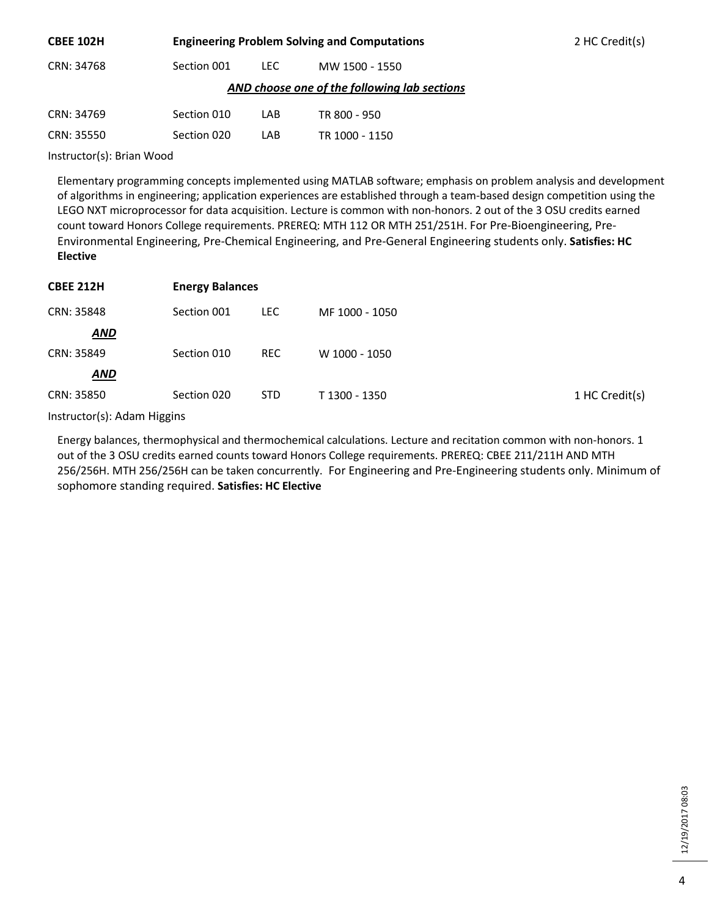| <b>CBEE 102H</b>                             |             | <b>Engineering Problem Solving and Computations</b> | 2 HC Credit(s) |  |
|----------------------------------------------|-------------|-----------------------------------------------------|----------------|--|
| CRN: 34768                                   | Section 001 | LEC.                                                | MW 1500 - 1550 |  |
| AND choose one of the following lab sections |             |                                                     |                |  |
| CRN: 34769                                   | Section 010 | LAB                                                 | TR 800 - 950   |  |
| CRN: 35550                                   | Section 020 | LAB                                                 | TR 1000 - 1150 |  |
| l                                            |             |                                                     |                |  |

Instructor(s): Brian Wood

Elementary programming concepts implemented using MATLAB software; emphasis on problem analysis and development of algorithms in engineering; application experiences are established through a team-based design competition using the LEGO NXT microprocessor for data acquisition. Lecture is common with non-honors. 2 out of the 3 OSU credits earned count toward Honors College requirements. PREREQ: MTH 112 OR MTH 251/251H. For Pre-Bioengineering, Pre-Environmental Engineering, Pre-Chemical Engineering, and Pre-General Engineering students only. **Satisfies: HC Elective**

| <b>CBEE 212H</b> | <b>Energy Balances</b> |            |                |                |  |
|------------------|------------------------|------------|----------------|----------------|--|
| CRN: 35848       | Section 001            | <b>LEC</b> | MF 1000 - 1050 |                |  |
| <b>AND</b>       |                        |            |                |                |  |
| CRN: 35849       | Section 010            | <b>REC</b> | W 1000 - 1050  |                |  |
| <b>AND</b>       |                        |            |                |                |  |
| CRN: 35850       | Section 020            | <b>STD</b> | T 1300 - 1350  | 1 HC Credit(s) |  |

Instructor(s): Adam Higgins

Energy balances, thermophysical and thermochemical calculations. Lecture and recitation common with non-honors. 1 out of the 3 OSU credits earned counts toward Honors College requirements. PREREQ: CBEE 211/211H AND MTH 256/256H. MTH 256/256H can be taken concurrently. For Engineering and Pre-Engineering students only. Minimum of sophomore standing required. **Satisfies: HC Elective**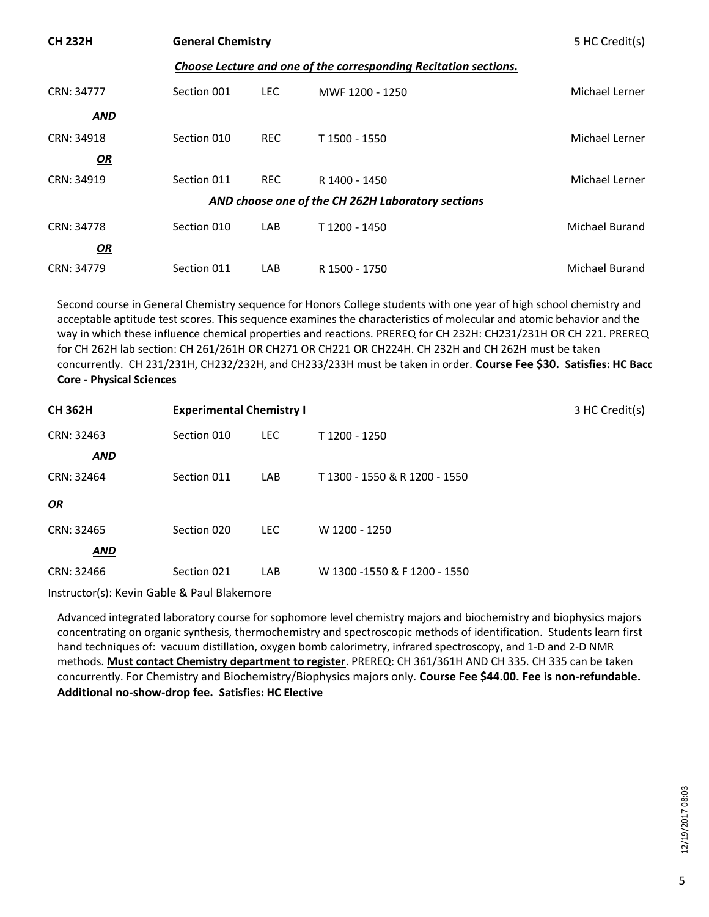| <b>CH 232H</b> | <b>General Chemistry</b> | 5 HC Credit(s) |                                                                  |                |
|----------------|--------------------------|----------------|------------------------------------------------------------------|----------------|
|                |                          |                | Choose Lecture and one of the corresponding Recitation sections. |                |
| CRN: 34777     | Section 001              | LEC.           | MWF 1200 - 1250                                                  | Michael Lerner |
| <b>AND</b>     |                          |                |                                                                  |                |
| CRN: 34918     | Section 010              | <b>REC</b>     | T 1500 - 1550                                                    | Michael Lerner |
| OR             |                          |                |                                                                  |                |
| CRN: 34919     | Section 011              | <b>REC</b>     | R 1400 - 1450                                                    | Michael Lerner |
|                |                          |                | AND choose one of the CH 262H Laboratory sections                |                |
| CRN: 34778     | Section 010              | LAB            | T 1200 - 1450                                                    | Michael Burand |
| <u>OR</u>      |                          |                |                                                                  |                |
| CRN: 34779     | Section 011              | LAB            | R 1500 - 1750                                                    | Michael Burand |

Second course in General Chemistry sequence for Honors College students with one year of high school chemistry and acceptable aptitude test scores. This sequence examines the characteristics of molecular and atomic behavior and the way in which these influence chemical properties and reactions. PREREQ for CH 232H: CH231/231H OR CH 221. PREREQ for CH 262H lab section: CH 261/261H OR CH271 OR CH221 OR CH224H. CH 232H and CH 262H must be taken concurrently. CH 231/231H, CH232/232H, and CH233/233H must be taken in order. **Course Fee \$30. Satisfies: HC Bacc Core - Physical Sciences**

| <b>CH 362H</b> | <b>Experimental Chemistry I</b> |            |                               | 3 HC Credit(s) |
|----------------|---------------------------------|------------|-------------------------------|----------------|
| CRN: 32463     | Section 010                     | <b>LEC</b> | T 1200 - 1250                 |                |
| <b>AND</b>     |                                 |            |                               |                |
| CRN: 32464     | Section 011                     | LAB        | T 1300 - 1550 & R 1200 - 1550 |                |
| OR             |                                 |            |                               |                |
| CRN: 32465     | Section 020                     | <b>LEC</b> | W 1200 - 1250                 |                |
| <b>AND</b>     |                                 |            |                               |                |
| CRN: 32466     | Section 021                     | LAB        | W 1300 -1550 & F 1200 - 1550  |                |

Instructor(s): Kevin Gable & Paul Blakemore

Advanced integrated laboratory course for sophomore level chemistry majors and biochemistry and biophysics majors concentrating on organic synthesis, thermochemistry and spectroscopic methods of identification. Students learn first hand techniques of: vacuum distillation, oxygen bomb calorimetry, infrared spectroscopy, and 1-D and 2-D NMR methods. **Must contact Chemistry department to register**. PREREQ: CH 361/361H AND CH 335. CH 335 can be taken concurrently. For Chemistry and Biochemistry/Biophysics majors only. **Course Fee \$44.00. Fee is non-refundable. Additional no-show-drop fee. Satisfies: HC Elective**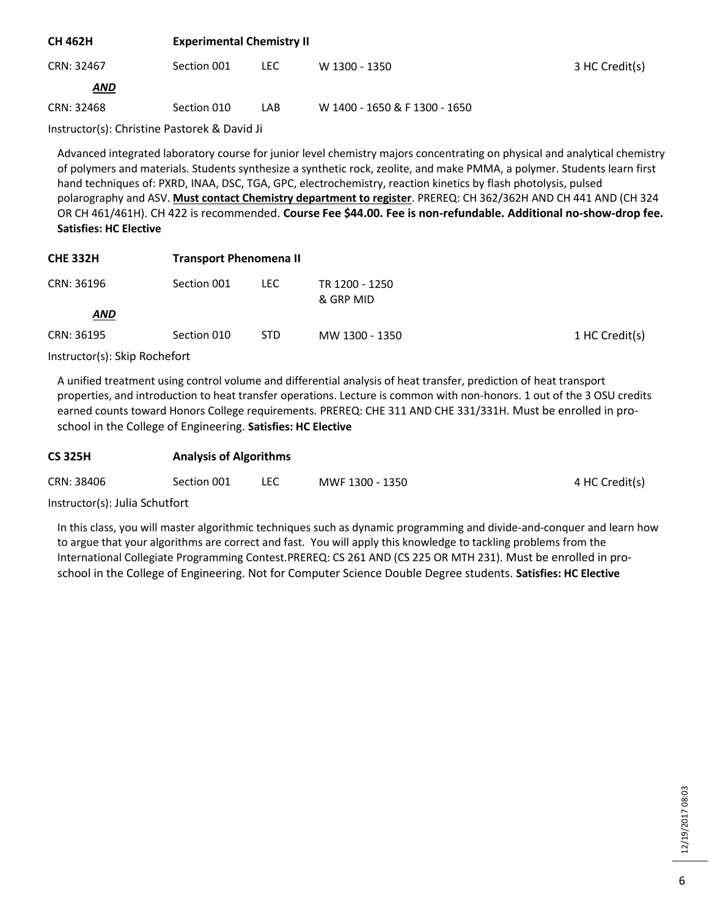| <b>CH 462H</b> | <b>Experimental Chemistry II</b> |      |                               |                |  |
|----------------|----------------------------------|------|-------------------------------|----------------|--|
| CRN: 32467     | Section 001                      | LEC. | W 1300 - 1350                 | 3 HC Credit(s) |  |
| <b>AND</b>     |                                  |      |                               |                |  |
| CRN: 32468     | Section 010                      | LAB  | W 1400 - 1650 & F 1300 - 1650 |                |  |

Instructor(s): Christine Pastorek & David Ji

Advanced integrated laboratory course for junior level chemistry majors concentrating on physical and analytical chemistry of polymers and materials. Students synthesize a synthetic rock, zeolite, and make PMMA, a polymer. Students learn first hand techniques of: PXRD, INAA, DSC, TGA, GPC, electrochemistry, reaction kinetics by flash photolysis, pulsed polarography and ASV. **Must contact Chemistry department to register**. PREREQ: CH 362/362H AND CH 441 AND (CH 324 OR CH 461/461H). CH 422 is recommended. **Course Fee \$44.00. Fee is non-refundable. Additional no-show-drop fee. Satisfies: HC Elective**

| <b>CHE 332H</b> | <b>Transport Phenomena II</b> |            |                             |                |
|-----------------|-------------------------------|------------|-----------------------------|----------------|
| CRN: 36196      | Section 001                   | LEC.       | TR 1200 - 1250<br>& GRP MID |                |
| <b>AND</b>      |                               |            |                             |                |
| CRN: 36195      | Section 010                   | <b>STD</b> | MW 1300 - 1350              | 1 HC Credit(s) |

Instructor(s): Skip Rochefort

A unified treatment using control volume and differential analysis of heat transfer, prediction of heat transport properties, and introduction to heat transfer operations. Lecture is common with non-honors. 1 out of the 3 OSU credits earned counts toward Honors College requirements. PREREQ: CHE 311 AND CHE 331/331H. Must be enrolled in proschool in the College of Engineering. **Satisfies: HC Elective**

| <b>CS 325H</b> | <b>Analysis of Algorithms</b> |  |                 |                |  |
|----------------|-------------------------------|--|-----------------|----------------|--|
| CRN: 38406     | Section 001                   |  | MWF 1300 - 1350 | 4 HC Credit(s) |  |

Instructor(s): Julia Schutfort

In this class, you will master algorithmic techniques such as dynamic programming and divide-and-conquer and learn how to argue that your algorithms are correct and fast. You will apply this knowledge to tackling problems from the International Collegiate Programming Contest.PREREQ: CS 261 AND (CS 225 OR MTH 231). Must be enrolled in proschool in the College of Engineering. Not for Computer Science Double Degree students. **Satisfies: HC Elective**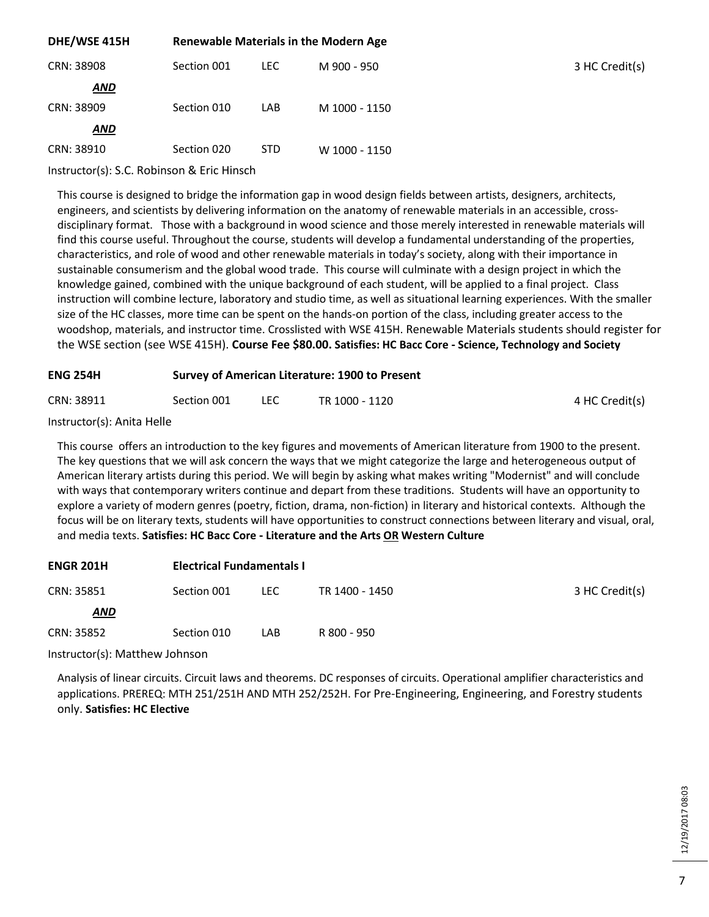| DHE/WSE 415H |             | <b>Renewable Materials in the Modern Age</b> |               |                |  |
|--------------|-------------|----------------------------------------------|---------------|----------------|--|
| CRN: 38908   | Section 001 | <b>LEC</b>                                   | M 900 - 950   | 3 HC Credit(s) |  |
| <b>AND</b>   |             |                                              |               |                |  |
| CRN: 38909   | Section 010 | LAB                                          | M 1000 - 1150 |                |  |
| <b>AND</b>   |             |                                              |               |                |  |
| CRN: 38910   | Section 020 | STD.                                         | W 1000 - 1150 |                |  |
|              |             |                                              |               |                |  |

Instructor(s): S.C. Robinson & Eric Hinsch

This course is designed to bridge the information gap in wood design fields between artists, designers, architects, engineers, and scientists by delivering information on the anatomy of renewable materials in an accessible, crossdisciplinary format. Those with a background in wood science and those merely interested in renewable materials will find this course useful. Throughout the course, students will develop a fundamental understanding of the properties, characteristics, and role of wood and other renewable materials in today's society, along with their importance in sustainable consumerism and the global wood trade. This course will culminate with a design project in which the knowledge gained, combined with the unique background of each student, will be applied to a final project. Class instruction will combine lecture, laboratory and studio time, as well as situational learning experiences. With the smaller size of the HC classes, more time can be spent on the hands-on portion of the class, including greater access to the woodshop, materials, and instructor time. Crosslisted with WSE 415H. Renewable Materials students should register for the WSE section (see WSE 415H). **Course Fee \$80.00. Satisfies: HC Bacc Core - Science, Technology and Society**

| <b>ENG 254H</b> | Survey of American Literature: 1900 to Present |  |                |                |  |  |
|-----------------|------------------------------------------------|--|----------------|----------------|--|--|
| CRN: 38911      | Section 001                                    |  | TR 1000 - 1120 | 4 HC Credit(s) |  |  |

| Instructor(s): Anita Helle |
|----------------------------|
|----------------------------|

This course offers an introduction to the key figures and movements of American literature from 1900 to the present. The key questions that we will ask concern the ways that we might categorize the large and heterogeneous output of American literary artists during this period. We will begin by asking what makes writing "Modernist" and will conclude with ways that contemporary writers continue and depart from these traditions. Students will have an opportunity to explore a variety of modern genres (poetry, fiction, drama, non-fiction) in literary and historical contexts. Although the focus will be on literary texts, students will have opportunities to construct connections between literary and visual, oral, and media texts. **Satisfies: HC Bacc Core - Literature and the Arts OR Western Culture**

| <b>ENGR 201H</b> | <b>Electrical Fundamentals I</b> |       |                |                |
|------------------|----------------------------------|-------|----------------|----------------|
| CRN: 35851       | Section 001                      | LEC . | TR 1400 - 1450 | 3 HC Credit(s) |
| AND              |                                  |       |                |                |
| CRN: 35852       | Section 010                      | LAB   | R 800 - 950    |                |

Instructor(s): Matthew Johnson

Analysis of linear circuits. Circuit laws and theorems. DC responses of circuits. Operational amplifier characteristics and applications. PREREQ: MTH 251/251H AND MTH 252/252H. For Pre-Engineering, Engineering, and Forestry students only. **Satisfies: HC Elective**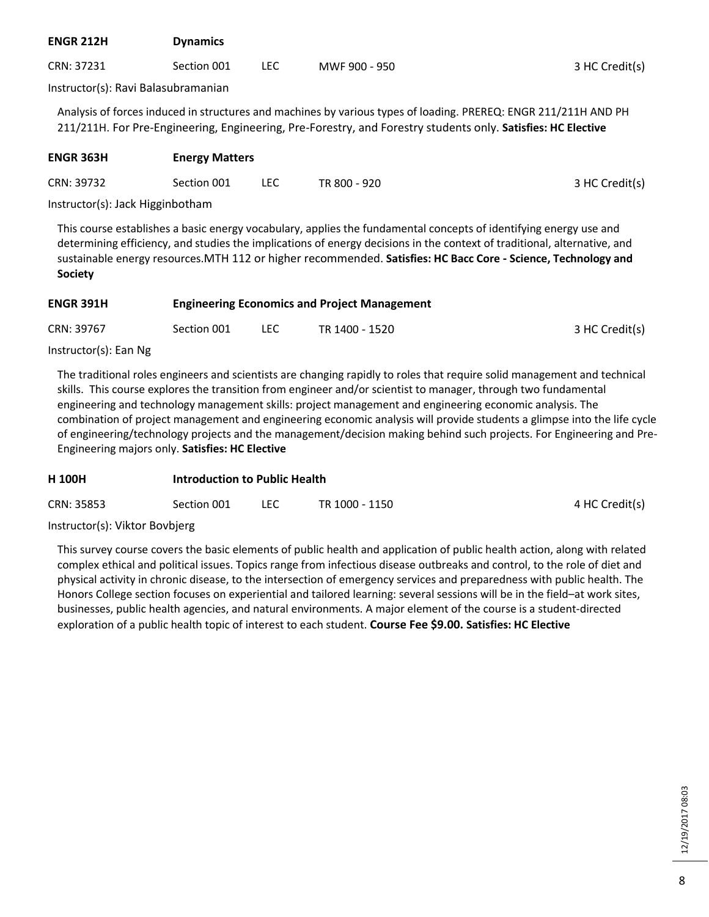| <b>ENGR 212H</b>                    | <b>Dynamics</b> |      |               |                |
|-------------------------------------|-----------------|------|---------------|----------------|
| CRN: 37231                          | Section 001     | LEC. | MWF 900 - 950 | 3 HC Credit(s) |
| Instructor(s): Ravi Balasubramanian |                 |      |               |                |

Analysis of forces induced in structures and machines by various types of loading. PREREQ: ENGR 211/211H AND PH 211/211H. For Pre-Engineering, Engineering, Pre-Forestry, and Forestry students only. **Satisfies: HC Elective**

| <b>ENGR 363H</b> | <b>Energy Matters</b> |     |              |                |
|------------------|-----------------------|-----|--------------|----------------|
| CRN: 39732       | Section 001           | LEC | TR 800 - 920 | 3 HC Credit(s) |

Instructor(s): Jack Higginbotham

This course establishes a basic energy vocabulary, applies the fundamental concepts of identifying energy use and determining efficiency, and studies the implications of energy decisions in the context of traditional, alternative, and sustainable energy resources.MTH 112 or higher recommended. **Satisfies: HC Bacc Core - Science, Technology and Society**

| <b>ENGR 391H</b> | <b>Engineering Economics and Project Management</b> |            |                |                |
|------------------|-----------------------------------------------------|------------|----------------|----------------|
| CRN: 39767       | Section 001                                         | <b>LEC</b> | TR 1400 - 1520 | 3 HC Credit(s) |

Instructor(s): Ean Ng

The traditional roles engineers and scientists are changing rapidly to roles that require solid management and technical skills. This course explores the transition from engineer and/or scientist to manager, through two fundamental engineering and technology management skills: project management and engineering economic analysis. The combination of project management and engineering economic analysis will provide students a glimpse into the life cycle of engineering/technology projects and the management/decision making behind such projects. For Engineering and Pre-Engineering majors only. **Satisfies: HC Elective**

| <b>H100H</b> | <b>Introduction to Public Health</b> |      |                |                |  |
|--------------|--------------------------------------|------|----------------|----------------|--|
| CRN: 35853   | Section 001                          | LEC. | TR 1000 - 1150 | 4 HC Credit(s) |  |

Instructor(s): Viktor Bovbjerg

This survey course covers the basic elements of public health and application of public health action, along with related complex ethical and political issues. Topics range from infectious disease outbreaks and control, to the role of diet and physical activity in chronic disease, to the intersection of emergency services and preparedness with public health. The Honors College section focuses on experiential and tailored learning: several sessions will be in the field–at work sites, businesses, public health agencies, and natural environments. A major element of the course is a student-directed exploration of a public health topic of interest to each student. **Course Fee \$9.00. Satisfies: HC Elective**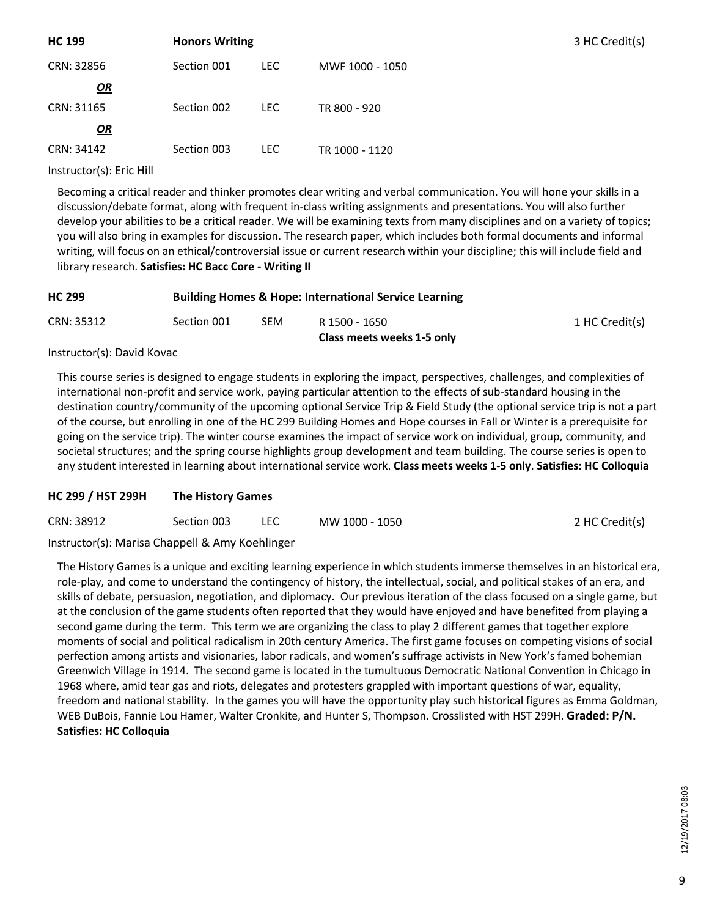| <b>HC 199</b> | <b>Honors Writing</b> |            |                 | 3 HC Credit(s) |
|---------------|-----------------------|------------|-----------------|----------------|
| CRN: 32856    | Section 001           | <b>LEC</b> | MWF 1000 - 1050 |                |
| $\mathbf{Q}$  |                       |            |                 |                |
| CRN: 31165    | Section 002           | LEC.       | TR 800 - 920    |                |
| OR            |                       |            |                 |                |
| CRN: 34142    | Section 003           | <b>LEC</b> | TR 1000 - 1120  |                |

Instructor(s): Eric Hill

Becoming a critical reader and thinker promotes clear writing and verbal communication. You will hone your skills in a discussion/debate format, along with frequent in-class writing assignments and presentations. You will also further develop your abilities to be a critical reader. We will be examining texts from many disciplines and on a variety of topics; you will also bring in examples for discussion. The research paper, which includes both formal documents and informal writing, will focus on an ethical/controversial issue or current research within your discipline; this will include field and library research. **Satisfies: HC Bacc Core - Writing II**

| <b>HC 299</b> |             | <b>Building Homes &amp; Hope: International Service Learning</b> |                            |                |
|---------------|-------------|------------------------------------------------------------------|----------------------------|----------------|
| CRN: 35312    | Section 001 | SEM                                                              | R 1500 - 1650              | 1 HC Credit(s) |
|               |             |                                                                  | Class meets weeks 1-5 only |                |

Instructor(s): David Kovac

This course series is designed to engage students in exploring the impact, perspectives, challenges, and complexities of international non-profit and service work, paying particular attention to the effects of sub-standard housing in the destination country/community of the upcoming optional Service Trip & Field Study (the optional service trip is not a part of the course, but enrolling in one of the HC 299 Building Homes and Hope courses in Fall or Winter is a prerequisite for going on the service trip). The winter course examines the impact of service work on individual, group, community, and societal structures; and the spring course highlights group development and team building. The course series is open to any student interested in learning about international service work. **Class meets weeks 1-5 only**. **Satisfies: HC Colloquia**

# **HC 299 / HST 299H The History Games**

| CRN: 38912 | Section 003 | LEC | MW 1000 - 1050 | 2 HC Credit(s) |
|------------|-------------|-----|----------------|----------------|
|            |             |     |                |                |

Instructor(s): Marisa Chappell & Amy Koehlinger

The History Games is a unique and exciting learning experience in which students immerse themselves in an historical era, role-play, and come to understand the contingency of history, the intellectual, social, and political stakes of an era, and skills of debate, persuasion, negotiation, and diplomacy. Our previous iteration of the class focused on a single game, but at the conclusion of the game students often reported that they would have enjoyed and have benefited from playing a second game during the term. This term we are organizing the class to play 2 different games that together explore moments of social and political radicalism in 20th century America. The first game focuses on competing visions of social perfection among artists and visionaries, labor radicals, and women's suffrage activists in New York's famed bohemian Greenwich Village in 1914. The second game is located in the tumultuous Democratic National Convention in Chicago in 1968 where, amid tear gas and riots, delegates and protesters grappled with important questions of war, equality, freedom and national stability. In the games you will have the opportunity play such historical figures as Emma Goldman, WEB DuBois, Fannie Lou Hamer, Walter Cronkite, and Hunter S, Thompson. Crosslisted with HST 299H. **Graded: P/N. Satisfies: HC Colloquia**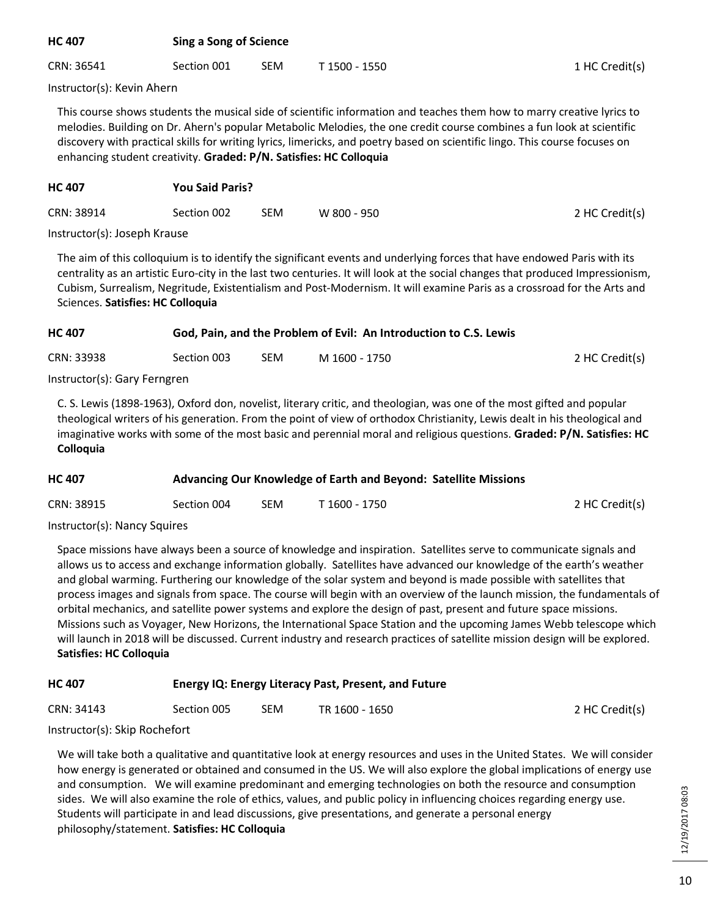| <b>HC 407</b> |             | <b>Sing a Song of Science</b> |               |                |  |  |
|---------------|-------------|-------------------------------|---------------|----------------|--|--|
| CRN: 36541    | Section 001 | <b>SEM</b>                    | T 1500 - 1550 | 1 HC Credit(s) |  |  |

Instructor(s): Kevin Ahern

This course shows students the musical side of scientific information and teaches them how to marry creative lyrics to melodies. Building on Dr. Ahern's popular Metabolic Melodies, the one credit course combines a fun look at scientific discovery with practical skills for writing lyrics, limericks, and poetry based on scientific lingo. This course focuses on enhancing student creativity. **Graded: P/N. Satisfies: HC Colloquia**

| nu 407                                | TUU JAIU FAIIS! |            |             |                |  |
|---------------------------------------|-----------------|------------|-------------|----------------|--|
| CRN: 38914                            | Section 002     | <b>SEM</b> | W 800 - 950 | 2 HC Credit(s) |  |
| $l$ netruster(e): $l$ ecoph $l$ rouce |                 |            |             |                |  |

Instructor(s): Joseph Krause

**HC 407 You Said Paris?**

The aim of this colloquium is to identify the significant events and underlying forces that have endowed Paris with its centrality as an artistic Euro-city in the last two centuries. It will look at the social changes that produced Impressionism, Cubism, Surrealism, Negritude, Existentialism and Post-Modernism. It will examine Paris as a crossroad for the Arts and Sciences. **Satisfies: HC Colloquia**

| God, Pain, and the Problem of Evil: An Introduction to C.S. Lewis |
|-------------------------------------------------------------------|
|                                                                   |

| CRN: 33938<br>Section 003 | <b>SEM</b> | M 1600 - 1750 | 2 HC Credit(s) |
|---------------------------|------------|---------------|----------------|
|---------------------------|------------|---------------|----------------|

Instructor(s): Gary Ferngren

C. S. Lewis (1898-1963), Oxford don, novelist, literary critic, and theologian, was one of the most gifted and popular theological writers of his generation. From the point of view of orthodox Christianity, Lewis dealt in his theological and imaginative works with some of the most basic and perennial moral and religious questions. **Graded: P/N. Satisfies: HC Colloquia**

| <b>HC 407</b> | Advancing Our Knowledge of Earth and Beyond: Satellite Missions |
|---------------|-----------------------------------------------------------------|
|               |                                                                 |

| CRN: 38915 | Section 004 | <b>SEM</b> | T 1600 - 1750 | 2 HC Credit(s) |
|------------|-------------|------------|---------------|----------------|
|            |             |            |               |                |

Instructor(s): Nancy Squires

Space missions have always been a source of knowledge and inspiration. Satellites serve to communicate signals and allows us to access and exchange information globally. Satellites have advanced our knowledge of the earth's weather and global warming. Furthering our knowledge of the solar system and beyond is made possible with satellites that process images and signals from space. The course will begin with an overview of the launch mission, the fundamentals of orbital mechanics, and satellite power systems and explore the design of past, present and future space missions. Missions such as Voyager, New Horizons, the International Space Station and the upcoming James Webb telescope which will launch in 2018 will be discussed. Current industry and research practices of satellite mission design will be explored. **Satisfies: HC Colloquia**

| <b>HC 407</b> | Energy IQ: Energy Literacy Past, Present, and Future |  |
|---------------|------------------------------------------------------|--|
|               |                                                      |  |

| CRN: 34143                                                                                                                           | Section 005 | SEM | TR 1600 - 1650 | 2 HC Credit(s) |
|--------------------------------------------------------------------------------------------------------------------------------------|-------------|-----|----------------|----------------|
| $\mathbf{r}$ , $\mathbf{r}$ , $\mathbf{r}$ , $\mathbf{r}$ , $\mathbf{r}$ , $\mathbf{r}$ , $\mathbf{r}$ , $\mathbf{r}$ , $\mathbf{r}$ |             |     |                |                |

Instructor(s): Skip Rochefort

We will take both a qualitative and quantitative look at energy resources and uses in the United States. We will consider how energy is generated or obtained and consumed in the US. We will also explore the global implications of energy use and consumption. We will examine predominant and emerging technologies on both the resource and consumption sides. We will also examine the role of ethics, values, and public policy in influencing choices regarding energy use. Students will participate in and lead discussions, give presentations, and generate a personal energy philosophy/statement. **Satisfies: HC Colloquia**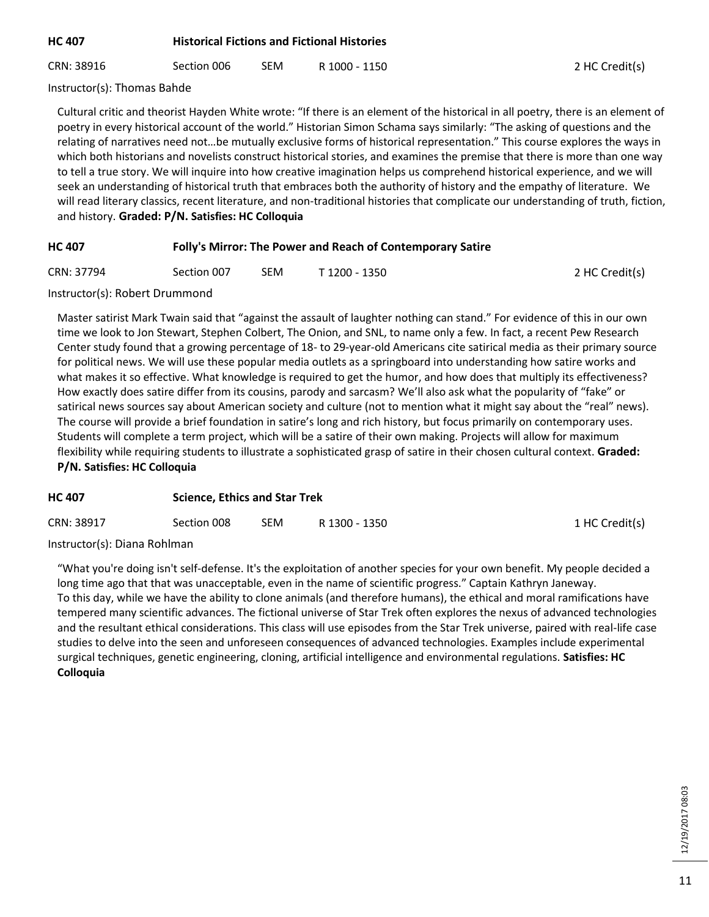| HC 407 | <b>Historical Fictions and Fictional Histories</b> |
|--------|----------------------------------------------------|
|        |                                                    |

CRN: 38916 Section 006 SEM R 1000 - 1150 2 HC Credit(s)

Instructor(s): Thomas Bahde

Cultural critic and theorist Hayden White wrote: "If there is an element of the historical in all poetry, there is an element of poetry in every historical account of the world." Historian Simon Schama says similarly: "The asking of questions and the relating of narratives need not…be mutually exclusive forms of historical representation." This course explores the ways in which both historians and novelists construct historical stories, and examines the premise that there is more than one way to tell a true story. We will inquire into how creative imagination helps us comprehend historical experience, and we will seek an understanding of historical truth that embraces both the authority of history and the empathy of literature. We will read literary classics, recent literature, and non-traditional histories that complicate our understanding of truth, fiction, and history. **Graded: P/N. Satisfies: HC Colloquia**

# **HC 407 Folly's Mirror: The Power and Reach of Contemporary Satire**

| CRN: 37794 | Section 007 | <b>SEM</b> | T 1200 - 1350 |
|------------|-------------|------------|---------------|
|            |             |            |               |

2 HC Credit(s)

#### Instructor(s): Robert Drummond

Master satirist Mark Twain said that "against the assault of laughter nothing can stand." For evidence of this in our own time we look to Jon Stewart, Stephen Colbert, The Onion, and SNL, to name only a few. In fact, a recent Pew Research Center study found that a growing percentage of 18- to 29-year-old Americans cite satirical media as their primary source for political news. We will use these popular media outlets as a springboard into understanding how satire works and what makes it so effective. What knowledge is required to get the humor, and how does that multiply its effectiveness? How exactly does satire differ from its cousins, parody and sarcasm? We'll also ask what the popularity of "fake" or satirical news sources say about American society and culture (not to mention what it might say about the "real" news). The course will provide a brief foundation in satire's long and rich history, but focus primarily on contemporary uses. Students will complete a term project, which will be a satire of their own making. Projects will allow for maximum flexibility while requiring students to illustrate a sophisticated grasp of satire in their chosen cultural context. **Graded: P/N. Satisfies: HC Colloquia**

| <b>HC 407</b> |             | <b>Science, Ethics and Star Trek</b> |               |                |
|---------------|-------------|--------------------------------------|---------------|----------------|
| CRN: 38917    | Section 008 | <b>SEM</b>                           | R 1300 - 1350 | 1 HC Credit(s) |

Instructor(s): Diana Rohlman

"What you're doing isn't self-defense. It's the exploitation of another species for your own benefit. My people decided a long time ago that that was unacceptable, even in the name of scientific progress." Captain Kathryn Janeway. To this day, while we have the ability to clone animals (and therefore humans), the ethical and moral ramifications have tempered many scientific advances. The fictional universe of Star Trek often explores the nexus of advanced technologies and the resultant ethical considerations. This class will use episodes from the Star Trek universe, paired with real-life case studies to delve into the seen and unforeseen consequences of advanced technologies. Examples include experimental surgical techniques, genetic engineering, cloning, artificial intelligence and environmental regulations. **Satisfies: HC Colloquia**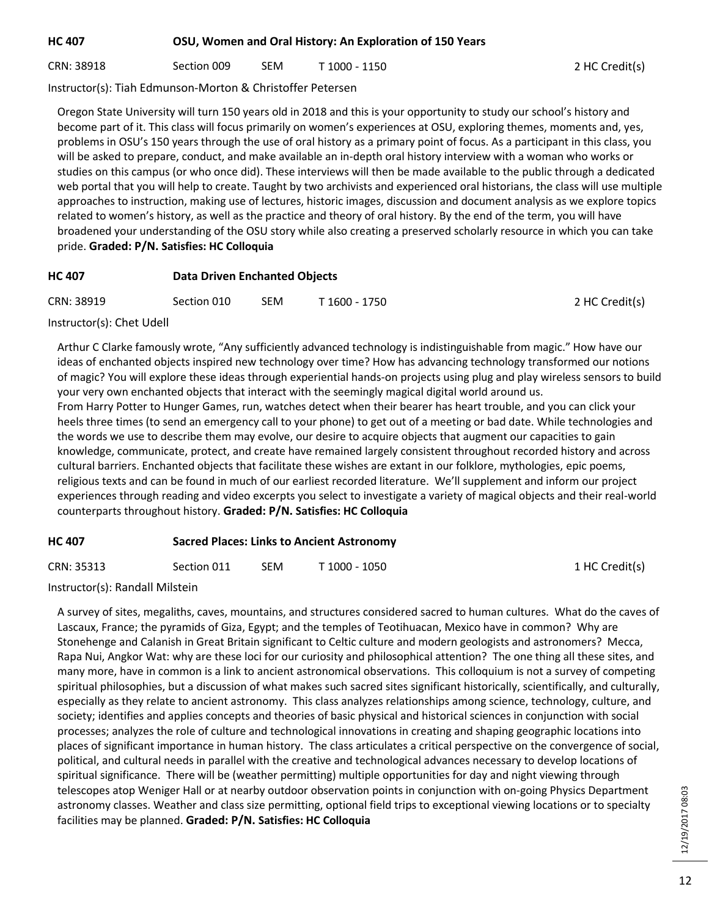# **HC 407 OSU, Women and Oral History: An Exploration of 150 Years**

CRN: 38918 Section 009 SEM T 1000 - 1150 2 HC Credit(s)

Instructor(s): Tiah Edmunson-Morton & Christoffer Petersen

Oregon State University will turn 150 years old in 2018 and this is your opportunity to study our school's history and become part of it. This class will focus primarily on women's experiences at OSU, exploring themes, moments and, yes, problems in OSU's 150 years through the use of oral history as a primary point of focus. As a participant in this class, you will be asked to prepare, conduct, and make available an in-depth oral history interview with a woman who works or studies on this campus (or who once did). These interviews will then be made available to the public through a dedicated web portal that you will help to create. Taught by two archivists and experienced oral historians, the class will use multiple approaches to instruction, making use of lectures, historic images, discussion and document analysis as we explore topics related to women's history, as well as the practice and theory of oral history. By the end of the term, you will have broadened your understanding of the OSU story while also creating a preserved scholarly resource in which you can take pride. **Graded: P/N. Satisfies: HC Colloquia**

| HC 407 | <b>Data Driven Enchanted Objects</b> |  |
|--------|--------------------------------------|--|
|        |                                      |  |

| CRN: 38919 | Section 010 | <b>SEM</b> | ་ 1600 - 1750 | 2 HC Credit(s) |
|------------|-------------|------------|---------------|----------------|
|            |             |            |               |                |

Instructor(s): Chet Udell

Arthur C Clarke famously wrote, "Any sufficiently advanced technology is indistinguishable from magic." How have our ideas of enchanted objects inspired new technology over time? How has advancing technology transformed our notions of magic? You will explore these ideas through experiential hands-on projects using plug and play wireless sensors to build your very own enchanted objects that interact with the seemingly magical digital world around us. From Harry Potter to Hunger Games, run, watches detect when their bearer has heart trouble, and you can click your heels three times (to send an emergency call to your phone) to get out of a meeting or bad date. While technologies and the words we use to describe them may evolve, our desire to acquire objects that augment our capacities to gain knowledge, communicate, protect, and create have remained largely consistent throughout recorded history and across cultural barriers. Enchanted objects that facilitate these wishes are extant in our folklore, mythologies, epic poems, religious texts and can be found in much of our earliest recorded literature. We'll supplement and inform our project experiences through reading and video excerpts you select to investigate a variety of magical objects and their real-world counterparts throughout history. **Graded: P/N. Satisfies: HC Colloquia**

# **HC 407 Sacred Places: Links to Ancient Astronomy**

Instructor(s): Randall Milstein

A survey of sites, megaliths, caves, mountains, and structures considered sacred to human cultures. What do the caves of Lascaux, France; the pyramids of Giza, Egypt; and the temples of Teotihuacan, Mexico have in common? Why are Stonehenge and Calanish in Great Britain significant to Celtic culture and modern geologists and astronomers? Mecca, Rapa Nui, Angkor Wat: why are these loci for our curiosity and philosophical attention? The one thing all these sites, and many more, have in common is a link to ancient astronomical observations. This colloquium is not a survey of competing spiritual philosophies, but a discussion of what makes such sacred sites significant historically, scientifically, and culturally, especially as they relate to ancient astronomy. This class analyzes relationships among science, technology, culture, and society; identifies and applies concepts and theories of basic physical and historical sciences in conjunction with social processes; analyzes the role of culture and technological innovations in creating and shaping geographic locations into places of significant importance in human history. The class articulates a critical perspective on the convergence of social, political, and cultural needs in parallel with the creative and technological advances necessary to develop locations of spiritual significance. There will be (weather permitting) multiple opportunities for day and night viewing through telescopes atop Weniger Hall or at nearby outdoor observation points in conjunction with on-going Physics Department astronomy classes. Weather and class size permitting, optional field trips to exceptional viewing locations or to specialty facilities may be planned. **Graded: P/N. Satisfies: HC Colloquia**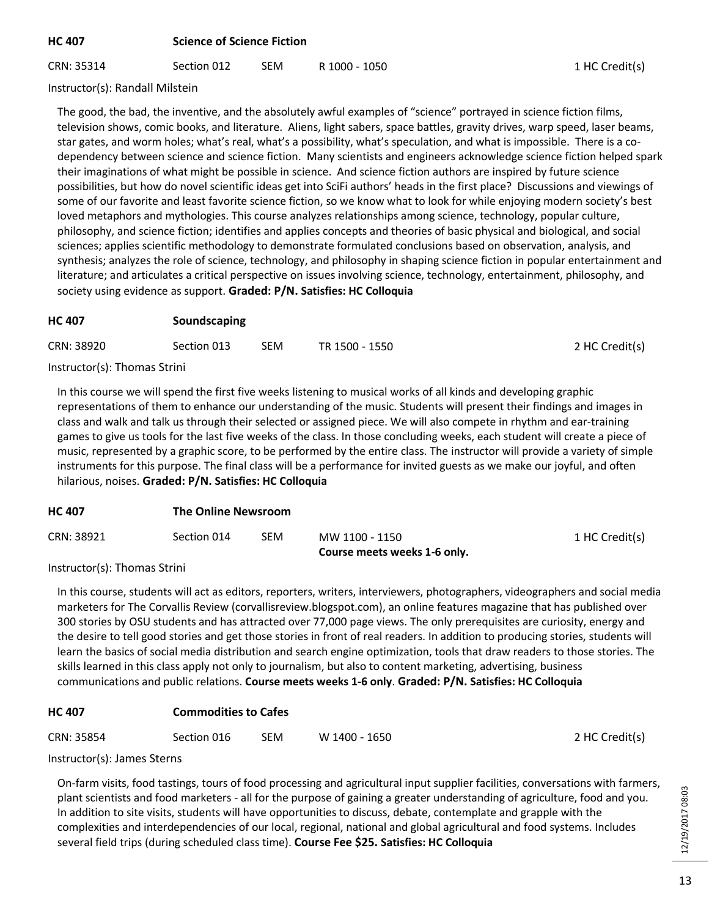# **HC 407 Science of Science Fiction**

CRN: 35314 Section 012 SEM R 1000 - 1050 1 CRN 35314 1 HC Credit(s)

1 HC Credit(s)

2 HC Credit(s)

Instructor(s): Randall Milstein

The good, the bad, the inventive, and the absolutely awful examples of "science" portrayed in science fiction films, television shows, comic books, and literature. Aliens, light sabers, space battles, gravity drives, warp speed, laser beams, star gates, and worm holes; what's real, what's a possibility, what's speculation, and what is impossible. There is a codependency between science and science fiction. Many scientists and engineers acknowledge science fiction helped spark their imaginations of what might be possible in science. And science fiction authors are inspired by future science possibilities, but how do novel scientific ideas get into SciFi authors' heads in the first place? Discussions and viewings of some of our favorite and least favorite science fiction, so we know what to look for while enjoying modern society's best loved metaphors and mythologies. This course analyzes relationships among science, technology, popular culture, philosophy, and science fiction; identifies and applies concepts and theories of basic physical and biological, and social sciences; applies scientific methodology to demonstrate formulated conclusions based on observation, analysis, and synthesis; analyzes the role of science, technology, and philosophy in shaping science fiction in popular entertainment and literature; and articulates a critical perspective on issues involving science, technology, entertainment, philosophy, and society using evidence as support. **Graded: P/N. Satisfies: HC Colloquia**

| <b>HC 407</b> | Soundscaping |            |                |                |  |
|---------------|--------------|------------|----------------|----------------|--|
| CRN: 38920    | Section 013  | <b>SEM</b> | TR 1500 - 1550 | 2 HC Credit(s) |  |

Instructor(s): Thomas Strini

In this course we will spend the first five weeks listening to musical works of all kinds and developing graphic representations of them to enhance our understanding of the music. Students will present their findings and images in class and walk and talk us through their selected or assigned piece. We will also compete in rhythm and ear-training games to give us tools for the last five weeks of the class. In those concluding weeks, each student will create a piece of music, represented by a graphic score, to be performed by the entire class. The instructor will provide a variety of simple instruments for this purpose. The final class will be a performance for invited guests as we make our joyful, and often hilarious, noises. **Graded: P/N. Satisfies: HC Colloquia**

| <b>HC 407</b> | <b>The Online Newsroom</b> |
|---------------|----------------------------|
|               |                            |

| CRN: 38921 | Section 014 | <b>SEM</b> | MW 1100 - 1150 |
|------------|-------------|------------|----------------|
|            |             |            |                |

| MW 1100 - 1150               |
|------------------------------|
| Course meets weeks 1-6 only. |

Instructor(s): Thomas Strini

In this course, students will act as editors, reporters, writers, interviewers, photographers, videographers and social media marketers for The Corvallis Review (corvallisreview.blogspot.com), an online features magazine that has published over 300 stories by OSU students and has attracted over 77,000 page views. The only prerequisites are curiosity, energy and the desire to tell good stories and get those stories in front of real readers. In addition to producing stories, students will learn the basics of social media distribution and search engine optimization, tools that draw readers to those stories. The skills learned in this class apply not only to journalism, but also to content marketing, advertising, business communications and public relations. **Course meets weeks 1-6 only**. **Graded: P/N. Satisfies: HC Colloquia**

# **HC 407 Commodities to Cafes**

| CRN: 35854<br>Section 016 | SEM | W 1400 - 1650 |  |
|---------------------------|-----|---------------|--|
|---------------------------|-----|---------------|--|

Instructor(s): James Sterns

On-farm visits, food tastings, tours of food processing and agricultural input supplier facilities, conversations with farmers, plant scientists and food marketers - all for the purpose of gaining a greater understanding of agriculture, food and you. In addition to site visits, students will have opportunities to discuss, debate, contemplate and grapple with the complexities and interdependencies of our local, regional, national and global agricultural and food systems. Includes several field trips (during scheduled class time). **Course Fee \$25. Satisfies: HC Colloquia**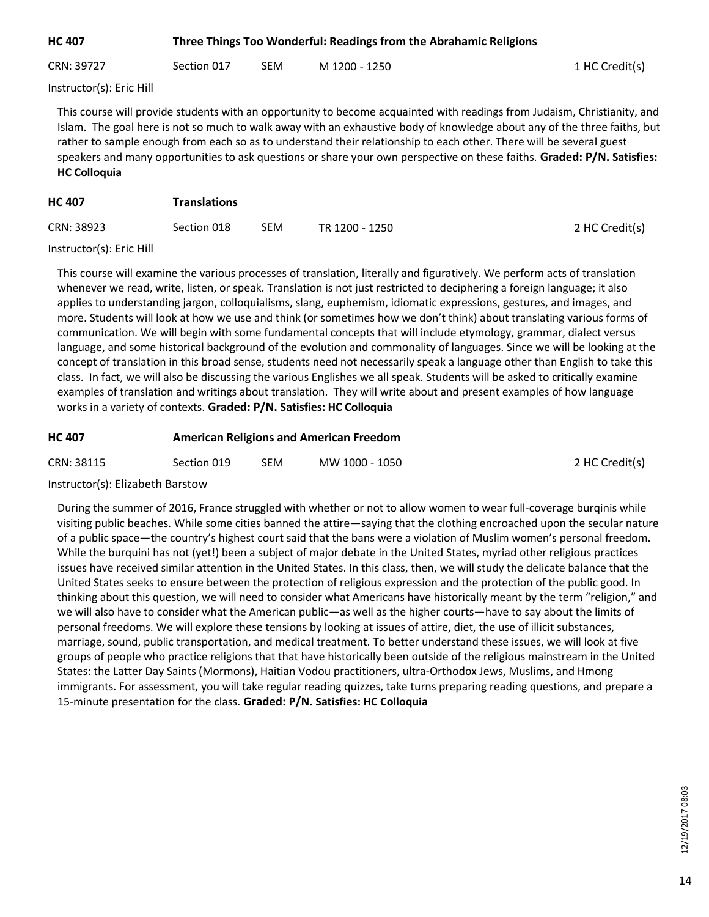| <b>HC 407</b> | Three Things Too Wonderful: Readings from the Abrahamic Religions |     |               |                |  |
|---------------|-------------------------------------------------------------------|-----|---------------|----------------|--|
| CRN: 39727    | Section 017                                                       | SEM | M 1200 - 1250 | 1 HC Credit(s) |  |

Instructor(s): Eric Hill

This course will provide students with an opportunity to become acquainted with readings from Judaism, Christianity, and Islam. The goal here is not so much to walk away with an exhaustive body of knowledge about any of the three faiths, but rather to sample enough from each so as to understand their relationship to each other. There will be several guest speakers and many opportunities to ask questions or share your own perspective on these faiths. **Graded: P/N. Satisfies: HC Colloquia**

| <b>HC 407</b> | <b>Translations</b> |            |                |                |
|---------------|---------------------|------------|----------------|----------------|
| CRN: 38923    | Section 018         | <b>SEM</b> | TR 1200 - 1250 | 2 HC Credit(s) |

#### Instructor(s): Eric Hill

This course will examine the various processes of translation, literally and figuratively. We perform acts of translation whenever we read, write, listen, or speak. Translation is not just restricted to deciphering a foreign language; it also applies to understanding jargon, colloquialisms, slang, euphemism, idiomatic expressions, gestures, and images, and more. Students will look at how we use and think (or sometimes how we don't think) about translating various forms of communication. We will begin with some fundamental concepts that will include etymology, grammar, dialect versus language, and some historical background of the evolution and commonality of languages. Since we will be looking at the concept of translation in this broad sense, students need not necessarily speak a language other than English to take this class. In fact, we will also be discussing the various Englishes we all speak. Students will be asked to critically examine examples of translation and writings about translation. They will write about and present examples of how language works in a variety of contexts. **Graded: P/N. Satisfies: HC Colloquia**

| <b>HC 407</b> | <b>American Religions and American Freedom</b> |      |                |                |
|---------------|------------------------------------------------|------|----------------|----------------|
| CRN: 38115    | Section 019                                    | SEM. | MW 1000 - 1050 | 2 HC Credit(s) |

Instructor(s): Elizabeth Barstow

During the summer of 2016, France struggled with whether or not to allow women to wear full-coverage burqinis while visiting public beaches. While some cities banned the attire—saying that the clothing encroached upon the secular nature of a public space—the country's highest court said that the bans were a violation of Muslim women's personal freedom. While the burquini has not (yet!) been a subject of major debate in the United States, myriad other religious practices issues have received similar attention in the United States. In this class, then, we will study the delicate balance that the United States seeks to ensure between the protection of religious expression and the protection of the public good. In thinking about this question, we will need to consider what Americans have historically meant by the term "religion," and we will also have to consider what the American public—as well as the higher courts—have to say about the limits of personal freedoms. We will explore these tensions by looking at issues of attire, diet, the use of illicit substances, marriage, sound, public transportation, and medical treatment. To better understand these issues, we will look at five groups of people who practice religions that that have historically been outside of the religious mainstream in the United States: the Latter Day Saints (Mormons), Haitian Vodou practitioners, ultra-Orthodox Jews, Muslims, and Hmong immigrants. For assessment, you will take regular reading quizzes, take turns preparing reading questions, and prepare a 15-minute presentation for the class. **Graded: P/N. Satisfies: HC Colloquia**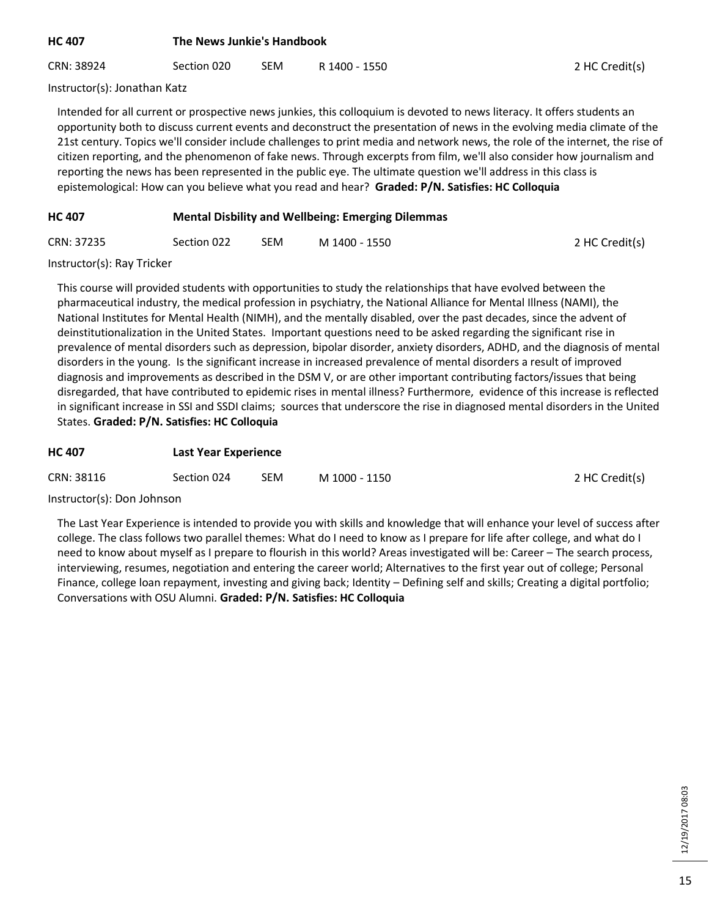| <b>HC 407</b> | The News Junkie's Handbook |            |               |                |  |
|---------------|----------------------------|------------|---------------|----------------|--|
| CRN: 38924    | Section 020                | <b>SEM</b> | R 1400 - 1550 | 2 HC Credit(s) |  |

Instructor(s): Jonathan Katz

Intended for all current or prospective news junkies, this colloquium is devoted to news literacy. It offers students an opportunity both to discuss current events and deconstruct the presentation of news in the evolving media climate of the 21st century. Topics we'll consider include challenges to print media and network news, the role of the internet, the rise of citizen reporting, and the phenomenon of fake news. Through excerpts from film, we'll also consider how journalism and reporting the news has been represented in the public eye. The ultimate question we'll address in this class is epistemological: How can you believe what you read and hear? **Graded: P/N. Satisfies: HC Colloquia**

# **HC 407 Mental Disbility and Wellbeing: Emerging Dilemmas**

| CRN: 37235 | Section 022 | SEM | M 1400 - 1550 | 2 HC Credit(s) |
|------------|-------------|-----|---------------|----------------|
|------------|-------------|-----|---------------|----------------|

Instructor(s): Ray Tricker

This course will provided students with opportunities to study the relationships that have evolved between the pharmaceutical industry, the medical profession in psychiatry, the National Alliance for Mental Illness (NAMI), the National Institutes for Mental Health (NIMH), and the mentally disabled, over the past decades, since the advent of deinstitutionalization in the United States. Important questions need to be asked regarding the significant rise in prevalence of mental disorders such as depression, bipolar disorder, anxiety disorders, ADHD, and the diagnosis of mental disorders in the young. Is the significant increase in increased prevalence of mental disorders a result of improved diagnosis and improvements as described in the DSM V, or are other important contributing factors/issues that being disregarded, that have contributed to epidemic rises in mental illness? Furthermore, evidence of this increase is reflected in significant increase in SSI and SSDI claims; sources that underscore the rise in diagnosed mental disorders in the United States. **Graded: P/N. Satisfies: HC Colloquia**

| <b>HC 407</b> | <b>Last Year Experience</b> |            |               |                |
|---------------|-----------------------------|------------|---------------|----------------|
| CRN: 38116    | Section 024                 | <b>SEM</b> | M 1000 - 1150 | 2 HC Credit(s) |

#### Instructor(s): Don Johnson

The Last Year Experience is intended to provide you with skills and knowledge that will enhance your level of success after college. The class follows two parallel themes: What do I need to know as I prepare for life after college, and what do I need to know about myself as I prepare to flourish in this world? Areas investigated will be: Career – The search process, interviewing, resumes, negotiation and entering the career world; Alternatives to the first year out of college; Personal Finance, college loan repayment, investing and giving back; Identity – Defining self and skills; Creating a digital portfolio; Conversations with OSU Alumni. **Graded: P/N. Satisfies: HC Colloquia**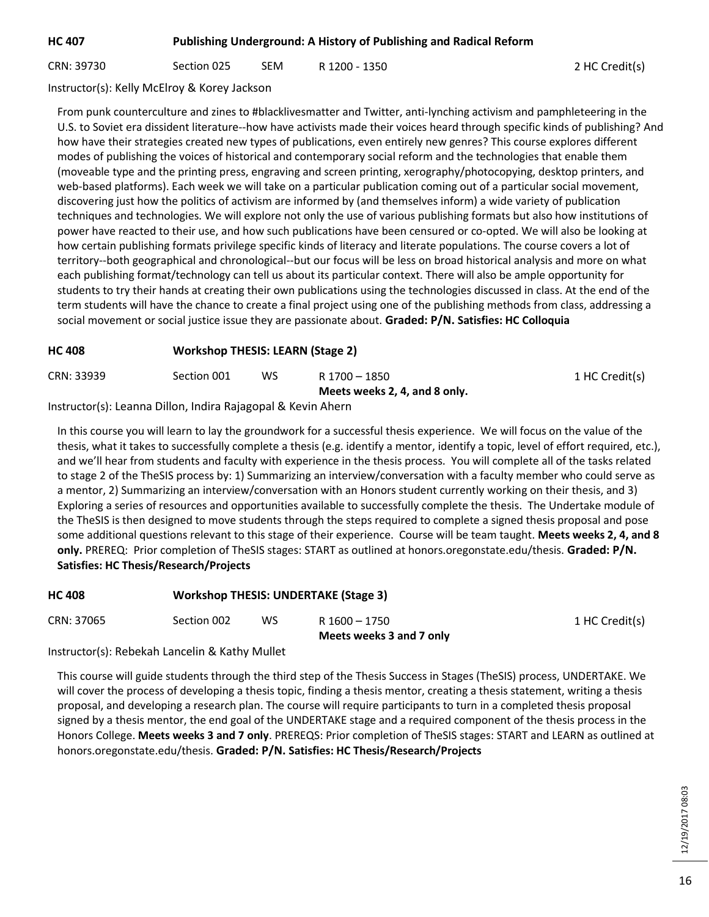# **HC 407 Publishing Underground: A History of Publishing and Radical Reform**

CRN: 39730 Section 025 SEM R 1200 - 1350 2 HC Credit(s)

Instructor(s): Kelly McElroy & Korey Jackson

From punk counterculture and zines to #blacklivesmatter and Twitter, anti-lynching activism and pamphleteering in the U.S. to Soviet era dissident literature--how have activists made their voices heard through specific kinds of publishing? And how have their strategies created new types of publications, even entirely new genres? This course explores different modes of publishing the voices of historical and contemporary social reform and the technologies that enable them (moveable type and the printing press, engraving and screen printing, xerography/photocopying, desktop printers, and web-based platforms). Each week we will take on a particular publication coming out of a particular social movement, discovering just how the politics of activism are informed by (and themselves inform) a wide variety of publication techniques and technologies. We will explore not only the use of various publishing formats but also how institutions of power have reacted to their use, and how such publications have been censured or co-opted. We will also be looking at how certain publishing formats privilege specific kinds of literacy and literate populations. The course covers a lot of territory--both geographical and chronological--but our focus will be less on broad historical analysis and more on what each publishing format/technology can tell us about its particular context. There will also be ample opportunity for students to try their hands at creating their own publications using the technologies discussed in class. At the end of the term students will have the chance to create a final project using one of the publishing methods from class, addressing a social movement or social justice issue they are passionate about. **Graded: P/N. Satisfies: HC Colloquia**

# **HC 408 Workshop THESIS: LEARN (Stage 2)**

| CRN: 33939 | Section 001 | WS. | R 1700 - 1850                 | 1 HC Credit(s) |
|------------|-------------|-----|-------------------------------|----------------|
|            |             |     | Meets weeks 2, 4, and 8 only. |                |
|            |             |     |                               |                |

Instructor(s): Leanna Dillon, Indira Rajagopal & Kevin Ahern

In this course you will learn to lay the groundwork for a successful thesis experience. We will focus on the value of the thesis, what it takes to successfully complete a thesis (e.g. identify a mentor, identify a topic, level of effort required, etc.), and we'll hear from students and faculty with experience in the thesis process. You will complete all of the tasks related to stage 2 of the TheSIS process by: 1) Summarizing an interview/conversation with a faculty member who could serve as a mentor, 2) Summarizing an interview/conversation with an Honors student currently working on their thesis, and 3) Exploring a series of resources and opportunities available to successfully complete the thesis. The Undertake module of the TheSIS is then designed to move students through the steps required to complete a signed thesis proposal and pose some additional questions relevant to this stage of their experience. Course will be team taught. **Meets weeks 2, 4, and 8 only.** PREREQ: Prior completion of TheSIS stages: START as outlined at honors.oregonstate.edu/thesis. **Graded: P/N. Satisfies: HC Thesis/Research/Projects**

| <b>HC 408</b> |             |     | <b>Workshop THESIS: UNDERTAKE (Stage 3)</b> |                |
|---------------|-------------|-----|---------------------------------------------|----------------|
| CRN: 37065    | Section 002 | WS. | R 1600 - 1750<br>Meets weeks 3 and 7 only   | 1 HC Credit(s) |

Instructor(s): Rebekah Lancelin & Kathy Mullet

This course will guide students through the third step of the Thesis Success in Stages (TheSIS) process, UNDERTAKE. We will cover the process of developing a thesis topic, finding a thesis mentor, creating a thesis statement, writing a thesis proposal, and developing a research plan. The course will require participants to turn in a completed thesis proposal signed by a thesis mentor, the end goal of the UNDERTAKE stage and a required component of the thesis process in the Honors College. **Meets weeks 3 and 7 only**. PREREQS: Prior completion of TheSIS stages: START and LEARN as outlined at honors.oregonstate.edu/thesis. **Graded: P/N. Satisfies: HC Thesis/Research/Projects**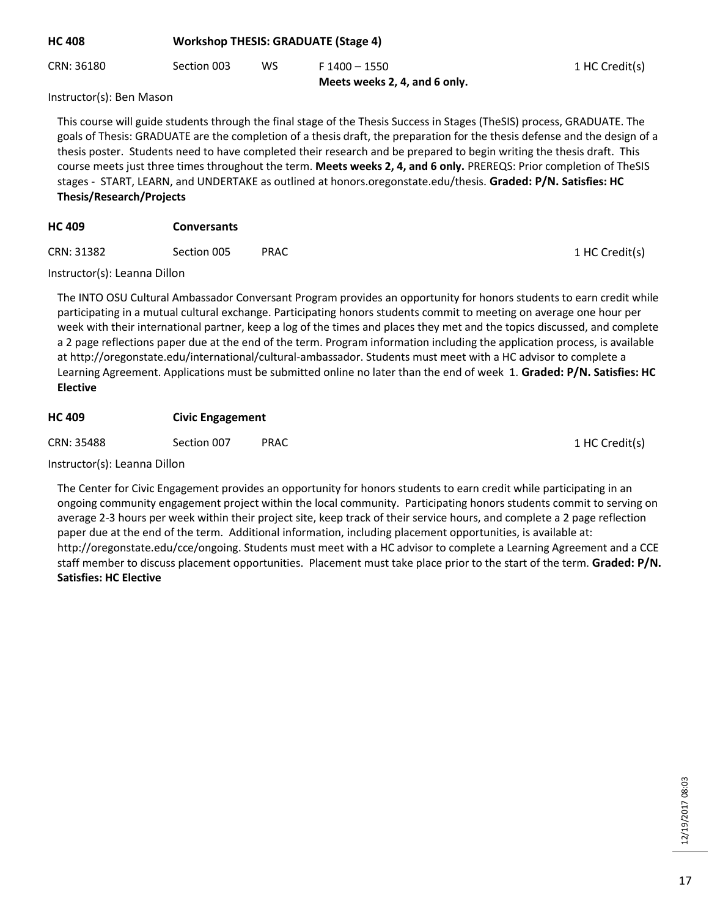| <b>HC 408</b>            | <b>Workshop THESIS: GRADUATE (Stage 4)</b> |    |                                                |                |
|--------------------------|--------------------------------------------|----|------------------------------------------------|----------------|
| CRN: 36180               | Section 003                                | ws | F 1400 - 1550<br>Meets weeks 2, 4, and 6 only. | 1 HC Credit(s) |
| Instructor(s): Ran Mason |                                            |    |                                                |                |

Instructor(s): Ben Mason

This course will guide students through the final stage of the Thesis Success in Stages (TheSIS) process, GRADUATE. The goals of Thesis: GRADUATE are the completion of a thesis draft, the preparation for the thesis defense and the design of a thesis poster. Students need to have completed their research and be prepared to begin writing the thesis draft. This course meets just three times throughout the term. **Meets weeks 2, 4, and 6 only.** PREREQS: Prior completion of TheSIS stages - START, LEARN, and UNDERTAKE as outlined at honors.oregonstate.edu/thesis. **Graded: P/N. Satisfies: HC Thesis/Research/Projects**

| <b>HC 409</b> | <b>Conversants</b> |             |                |
|---------------|--------------------|-------------|----------------|
| CRN: 31382    | Section 005        | <b>PRAC</b> | 1 HC Credit(s) |

Instructor(s): Leanna Dillon

The INTO OSU Cultural Ambassador Conversant Program provides an opportunity for honors students to earn credit while participating in a mutual cultural exchange. Participating honors students commit to meeting on average one hour per week with their international partner, keep a log of the times and places they met and the topics discussed, and complete a 2 page reflections paper due at the end of the term. Program information including the application process, is available at http://oregonstate.edu/international/cultural-ambassador. Students must meet with a HC advisor to complete a Learning Agreement. Applications must be submitted online no later than the end of week 1. **Graded: P/N. Satisfies: HC Elective**

# **HC 409 Civic Engagement**

CRN: 35488 Section 007 PRAC 2011 1 HC Credit(s)

Instructor(s): Leanna Dillon

The Center for Civic Engagement provides an opportunity for honors students to earn credit while participating in an ongoing community engagement project within the local community. Participating honors students commit to serving on average 2-3 hours per week within their project site, keep track of their service hours, and complete a 2 page reflection paper due at the end of the term. Additional information, including placement opportunities, is available at: http://oregonstate.edu/cce/ongoing. Students must meet with a HC advisor to complete a Learning Agreement and a CCE staff member to discuss placement opportunities. Placement must take place prior to the start of the term. **Graded: P/N. Satisfies: HC Elective**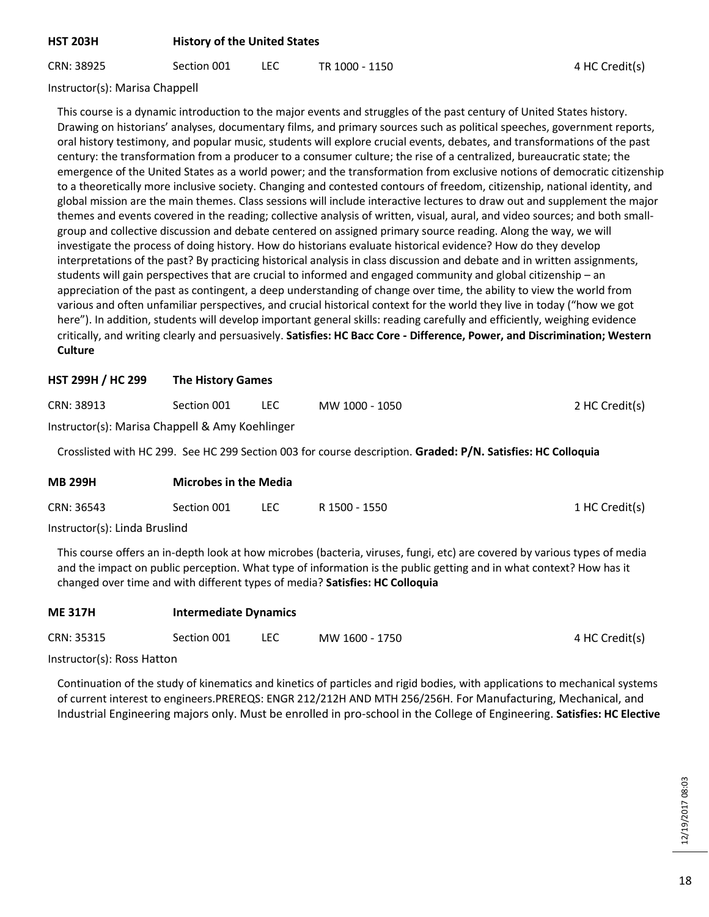# **HST 203H History of the United States**

CRN: 38925 Section 001 LEC TR 1000 - 1150 CRN: 38925 4 HC Credit(s)

Instructor(s): Marisa Chappell

This course is a dynamic introduction to the major events and struggles of the past century of United States history. Drawing on historians' analyses, documentary films, and primary sources such as political speeches, government reports, oral history testimony, and popular music, students will explore crucial events, debates, and transformations of the past century: the transformation from a producer to a consumer culture; the rise of a centralized, bureaucratic state; the emergence of the United States as a world power; and the transformation from exclusive notions of democratic citizenship to a theoretically more inclusive society. Changing and contested contours of freedom, citizenship, national identity, and global mission are the main themes. Class sessions will include interactive lectures to draw out and supplement the major themes and events covered in the reading; collective analysis of written, visual, aural, and video sources; and both smallgroup and collective discussion and debate centered on assigned primary source reading. Along the way, we will investigate the process of doing history. How do historians evaluate historical evidence? How do they develop interpretations of the past? By practicing historical analysis in class discussion and debate and in written assignments, students will gain perspectives that are crucial to informed and engaged community and global citizenship – an appreciation of the past as contingent, a deep understanding of change over time, the ability to view the world from various and often unfamiliar perspectives, and crucial historical context for the world they live in today ("how we got here"). In addition, students will develop important general skills: reading carefully and efficiently, weighing evidence critically, and writing clearly and persuasively. **Satisfies: HC Bacc Core - Difference, Power, and Discrimination; Western Culture**

#### **HST 299H / HC 299 The History Games**

| CRN: 38913 | Section 001 |  | MW 1000 - 1050 | 2 HC Credit(s) |
|------------|-------------|--|----------------|----------------|
|------------|-------------|--|----------------|----------------|

Instructor(s): Marisa Chappell & Amy Koehlinger

Crosslisted with HC 299. See HC 299 Section 003 for course description. **Graded: P/N. Satisfies: HC Colloquia**

| <b>MB 299H</b> | <b>Microbes in the Media</b> |      |               |                |  |
|----------------|------------------------------|------|---------------|----------------|--|
| CRN: 36543     | Section 001                  | LEC. | R 1500 - 1550 | 1 HC Credit(s) |  |
|                |                              |      |               |                |  |

Instructor(s): Linda Bruslind

This course offers an in-depth look at how microbes (bacteria, viruses, fungi, etc) are covered by various types of media and the impact on public perception. What type of information is the public getting and in what context? How has it changed over time and with different types of media? **Satisfies: HC Colloquia**

| <b>ME 317H</b> | <b>Intermediate Dynamics</b> |      |                |                |
|----------------|------------------------------|------|----------------|----------------|
| CRN: 35315     | Section 001                  | LEC. | MW 1600 - 1750 | 4 HC Credit(s) |

Instructor(s): Ross Hatton

Continuation of the study of kinematics and kinetics of particles and rigid bodies, with applications to mechanical systems of current interest to engineers.PREREQS: ENGR 212/212H AND MTH 256/256H. For Manufacturing, Mechanical, and Industrial Engineering majors only. Must be enrolled in pro-school in the College of Engineering. **Satisfies: HC Elective**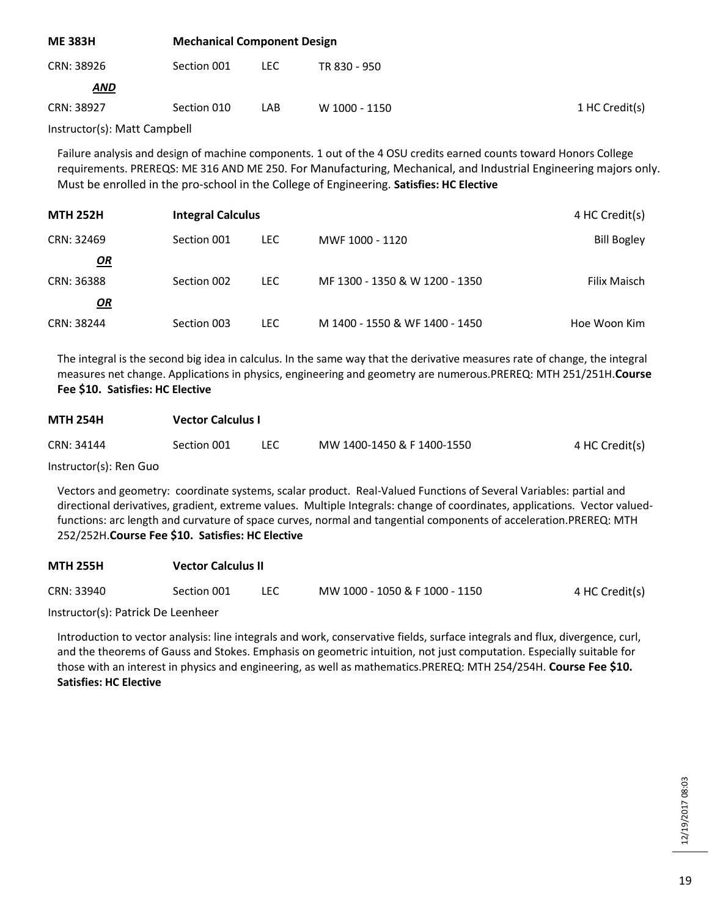| <b>Mechanical Component Design</b> |      |               |                |  |
|------------------------------------|------|---------------|----------------|--|
| Section 001                        | LEC. | TR 830 - 950  |                |  |
|                                    |      |               |                |  |
| Section 010                        | LAB  | W 1000 - 1150 | 1 HC Credit(s) |  |
|                                    |      |               |                |  |

Instructor(s): Matt Campbell

Failure analysis and design of machine components. 1 out of the 4 OSU credits earned counts toward Honors College requirements. PREREQS: ME 316 AND ME 250. For Manufacturing, Mechanical, and Industrial Engineering majors only. Must be enrolled in the pro-school in the College of Engineering. **Satisfies: HC Elective**

| <b>MTH 252H</b> | <b>Integral Calculus</b> | 4 HC Credit(s) |                                |                    |  |
|-----------------|--------------------------|----------------|--------------------------------|--------------------|--|
| CRN: 32469      | Section 001              | LEC.           | MWF 1000 - 1120                | <b>Bill Bogley</b> |  |
| <u>OR</u>       |                          |                |                                |                    |  |
| CRN: 36388      | Section 002              | LEC.           | MF 1300 - 1350 & W 1200 - 1350 | Filix Maisch       |  |
| $\mathbf{Q}$    |                          |                |                                |                    |  |
| CRN: 38244      | Section 003              | <b>LEC</b>     | M 1400 - 1550 & WF 1400 - 1450 | Hoe Woon Kim       |  |

The integral is the second big idea in calculus. In the same way that the derivative measures rate of change, the integral measures net change. Applications in physics, engineering and geometry are numerous.PREREQ: MTH 251/251H.**Course Fee \$10. Satisfies: HC Elective**

| <b>MTH 254H</b>         | <b>Vector Calculus I</b> |            |                            |                |  |  |
|-------------------------|--------------------------|------------|----------------------------|----------------|--|--|
| CRN: 34144              | Section 001              | <b>LEC</b> | MW 1400-1450 & F 1400-1550 | 4 HC Credit(s) |  |  |
| $Instructor(c)$ Dan Guo |                          |            |                            |                |  |  |

Instructor(s): Ren Guo

Vectors and geometry: coordinate systems, scalar product. Real-Valued Functions of Several Variables: partial and directional derivatives, gradient, extreme values. Multiple Integrals: change of coordinates, applications. Vector valuedfunctions: arc length and curvature of space curves, normal and tangential components of acceleration.PREREQ: MTH 252/252H.**Course Fee \$10. Satisfies: HC Elective**

| <b>MTH 255H</b> | <b>Vector Calculus II</b> |      |                                |                |  |  |
|-----------------|---------------------------|------|--------------------------------|----------------|--|--|
| CRN: 33940      | Section 001               | LEC. | MW 1000 - 1050 & F 1000 - 1150 | 4 HC Credit(s) |  |  |

Instructor(s): Patrick De Leenheer

Introduction to vector analysis: line integrals and work, conservative fields, surface integrals and flux, divergence, curl, and the theorems of Gauss and Stokes. Emphasis on geometric intuition, not just computation. Especially suitable for those with an interest in physics and engineering, as well as mathematics.PREREQ: MTH 254/254H. **Course Fee \$10. Satisfies: HC Elective**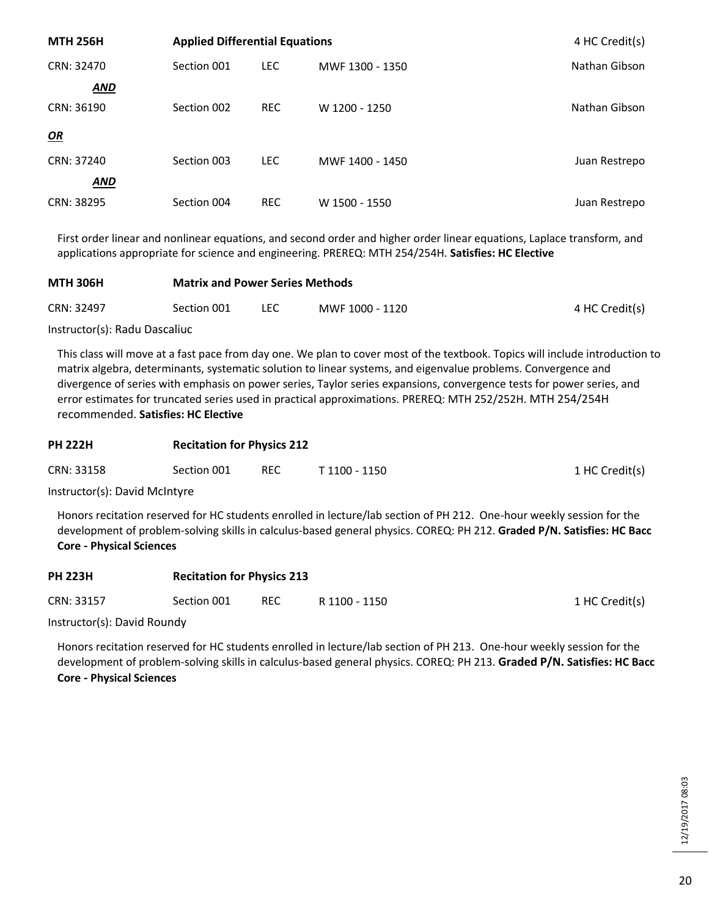| <b>MTH 256H</b> | <b>Applied Differential Equations</b> | 4 HC Credit(s) |                 |               |
|-----------------|---------------------------------------|----------------|-----------------|---------------|
| CRN: 32470      | Section 001                           | <b>LEC</b>     | MWF 1300 - 1350 | Nathan Gibson |
| <b>AND</b>      |                                       |                |                 |               |
| CRN: 36190      | Section 002                           | <b>REC</b>     | W 1200 - 1250   | Nathan Gibson |
| OR              |                                       |                |                 |               |
| CRN: 37240      | Section 003                           | <b>LEC</b>     | MWF 1400 - 1450 | Juan Restrepo |
| <b>AND</b>      |                                       |                |                 |               |
| CRN: 38295      | Section 004                           | <b>REC</b>     | W 1500 - 1550   | Juan Restrepo |

First order linear and nonlinear equations, and second order and higher order linear equations, Laplace transform, and applications appropriate for science and engineering. PREREQ: MTH 254/254H. **Satisfies: HC Elective**

| <b>MTH 306H</b> | <b>Matrix and Power Series Methods</b> |      |                 |                |  |  |
|-----------------|----------------------------------------|------|-----------------|----------------|--|--|
| CRN: 32497      | Section 001                            | LEC. | MWF 1000 - 1120 | 4 HC Credit(s) |  |  |
|                 |                                        |      |                 |                |  |  |

Instructor(s): Radu Dascaliuc

This class will move at a fast pace from day one. We plan to cover most of the textbook. Topics will include introduction to matrix algebra, determinants, systematic solution to linear systems, and eigenvalue problems. Convergence and divergence of series with emphasis on power series, Taylor series expansions, convergence tests for power series, and error estimates for truncated series used in practical approximations. PREREQ: MTH 252/252H. MTH 254/254H recommended. **Satisfies: HC Elective**

| <b>PH 222H</b> |             | <b>Recitation for Physics 212</b> |               |                |  |
|----------------|-------------|-----------------------------------|---------------|----------------|--|
| CRN: 33158     | Section 001 | <b>REC</b>                        | T 1100 - 1150 | 1 HC Credit(s) |  |
| .              |             |                                   |               |                |  |

Instructor(s): David McIntyre

Honors recitation reserved for HC students enrolled in lecture/lab section of PH 212. One-hour weekly session for the development of problem-solving skills in calculus-based general physics. COREQ: PH 212. **Graded P/N. Satisfies: HC Bacc Core - Physical Sciences**

| PH 223H    | Recitation for Physics 213 |            |               |                |
|------------|----------------------------|------------|---------------|----------------|
| CRN: 33157 | Section 001                | <b>REC</b> | R 1100 - 1150 | 1 HC Credit(s) |

Instructor(s): David Roundy

**PH 223H Recitation for Physics 213**

Honors recitation reserved for HC students enrolled in lecture/lab section of PH 213. One-hour weekly session for the development of problem-solving skills in calculus-based general physics. COREQ: PH 213. **Graded P/N. Satisfies: HC Bacc Core - Physical Sciences**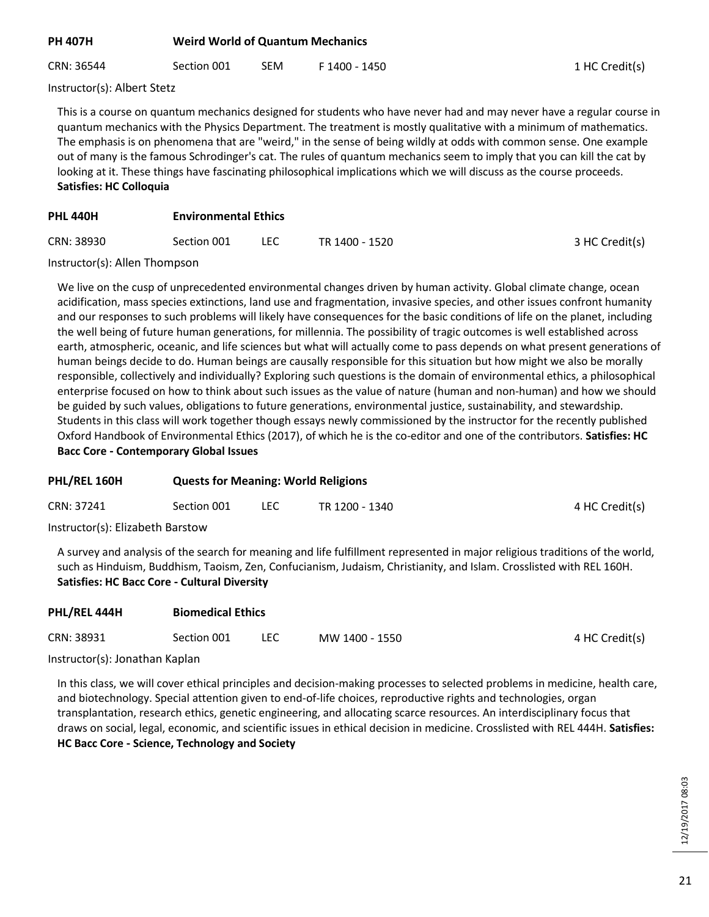| PH 407H | <b>Weird World of Quantum Mechanics</b> |
|---------|-----------------------------------------|
|---------|-----------------------------------------|

CRN: 36544 Section 001 SEM F 1400 - 1450 1 HC Credit(s)

Instructor(s): Albert Stetz

This is a course on quantum mechanics designed for students who have never had and may never have a regular course in quantum mechanics with the Physics Department. The treatment is mostly qualitative with a minimum of mathematics. The emphasis is on phenomena that are "weird," in the sense of being wildly at odds with common sense. One example out of many is the famous Schrodinger's cat. The rules of quantum mechanics seem to imply that you can kill the cat by looking at it. These things have fascinating philosophical implications which we will discuss as the course proceeds. **Satisfies: HC Colloquia**

# **PHL 440H Environmental Ethics**

| CRN: 38930 | Section 001 | LEC<br>__ | TR 1400 - 1520 | 3 HC Credit(s) |
|------------|-------------|-----------|----------------|----------------|
|            |             |           |                |                |

Instructor(s): Allen Thompson

We live on the cusp of unprecedented environmental changes driven by human activity. Global climate change, ocean acidification, mass species extinctions, land use and fragmentation, invasive species, and other issues confront humanity and our responses to such problems will likely have consequences for the basic conditions of life on the planet, including the well being of future human generations, for millennia. The possibility of tragic outcomes is well established across earth, atmospheric, oceanic, and life sciences but what will actually come to pass depends on what present generations of human beings decide to do. Human beings are causally responsible for this situation but how might we also be morally responsible, collectively and individually? Exploring such questions is the domain of environmental ethics, a philosophical enterprise focused on how to think about such issues as the value of nature (human and non-human) and how we should be guided by such values, obligations to future generations, environmental justice, sustainability, and stewardship. Students in this class will work together though essays newly commissioned by the instructor for the recently published Oxford Handbook of Environmental Ethics (2017), of which he is the co-editor and one of the contributors. **Satisfies: HC Bacc Core - Contemporary Global Issues**

# **PHL/REL 160H Quests for Meaning: World Religions** CRN: 37241 Section 001 LEC TR 1200 - 1340 And The Credit(s) Instructor(s): Elizabeth Barstow

A survey and analysis of the search for meaning and life fulfillment represented in major religious traditions of the world, such as Hinduism, Buddhism, Taoism, Zen, Confucianism, Judaism, Christianity, and Islam. Crosslisted with REL 160H. **Satisfies: HC Bacc Core - Cultural Diversity**

| PHL/REL 444H<br><b>Biomedical Ethics</b> |             |      |                |                |  |
|------------------------------------------|-------------|------|----------------|----------------|--|
| CRN: 38931                               | Section 001 | LEC. | MW 1400 - 1550 | 4 HC Credit(s) |  |
|                                          |             |      |                |                |  |

Instructor(s): Jonathan Kaplan

In this class, we will cover ethical principles and decision-making processes to selected problems in medicine, health care, and biotechnology. Special attention given to end-of-life choices, reproductive rights and technologies, organ transplantation, research ethics, genetic engineering, and allocating scarce resources. An interdisciplinary focus that draws on social, legal, economic, and scientific issues in ethical decision in medicine. Crosslisted with REL 444H. **Satisfies: HC Bacc Core - Science, Technology and Society**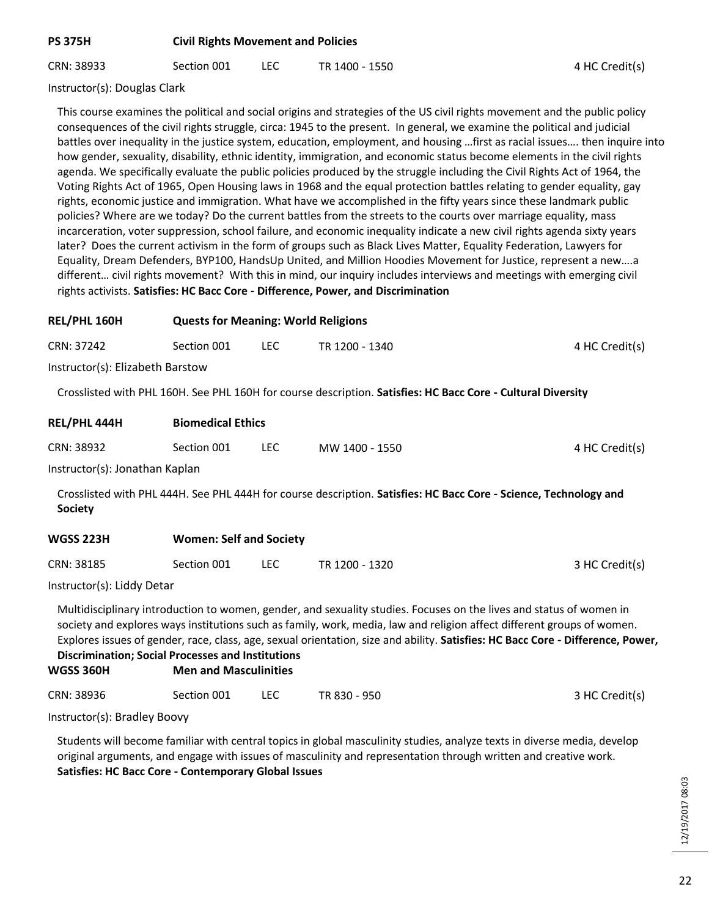# **PS 375H Civil Rights Movement and Policies**

CRN: 38933 Section 001 LEC TR 1400 - 1550 Section 4 HC Credit(s)

Instructor(s): Douglas Clark

This course examines the political and social origins and strategies of the US civil rights movement and the public policy consequences of the civil rights struggle, circa: 1945 to the present. In general, we examine the political and judicial battles over inequality in the justice system, education, employment, and housing …first as racial issues…. then inquire into how gender, sexuality, disability, ethnic identity, immigration, and economic status become elements in the civil rights agenda. We specifically evaluate the public policies produced by the struggle including the Civil Rights Act of 1964, the Voting Rights Act of 1965, Open Housing laws in 1968 and the equal protection battles relating to gender equality, gay rights, economic justice and immigration. What have we accomplished in the fifty years since these landmark public policies? Where are we today? Do the current battles from the streets to the courts over marriage equality, mass incarceration, voter suppression, school failure, and economic inequality indicate a new civil rights agenda sixty years later? Does the current activism in the form of groups such as Black Lives Matter, Equality Federation, Lawyers for Equality, Dream Defenders, BYP100, HandsUp United, and Million Hoodies Movement for Justice, represent a new….a different… civil rights movement? With this in mind, our inquiry includes interviews and meetings with emerging civil rights activists. **Satisfies: HC Bacc Core - Difference, Power, and Discrimination**

| REL/PHL 160H                     | <b>Quests for Meaning: World Religions</b> |            |                                                                                                                   |                |
|----------------------------------|--------------------------------------------|------------|-------------------------------------------------------------------------------------------------------------------|----------------|
| CRN: 37242                       | Section 001                                | <b>LEC</b> | TR 1200 - 1340                                                                                                    | 4 HC Credit(s) |
| Instructor(s): Elizabeth Barstow |                                            |            |                                                                                                                   |                |
|                                  |                                            |            | Crosslisted with PHL 160H. See PHL 160H for course description. Satisfies: HC Bacc Core - Cultural Diversity      |                |
| REL/PHL 444H                     | <b>Biomedical Ethics</b>                   |            |                                                                                                                   |                |
| CRN: 38932                       | Section 001                                | LEC.       | MW 1400 - 1550                                                                                                    | 4 HC Credit(s) |
| Instructor(s): Jonathan Kaplan   |                                            |            |                                                                                                                   |                |
| <b>Society</b>                   |                                            |            | Crosslisted with PHL 444H. See PHL 444H for course description. Satisfies: HC Bacc Core - Science, Technology and |                |
| <b>WGSS 223H</b>                 | <b>Women: Self and Society</b>             |            |                                                                                                                   |                |

| CRN: 38185 | Section 001 | LEC. |                |                |
|------------|-------------|------|----------------|----------------|
|            |             |      | TR 1200 - 1320 | 3 HC Credit(s) |

Instructor(s): Liddy Detar

Multidisciplinary introduction to women, gender, and sexuality studies. Focuses on the lives and status of women in society and explores ways institutions such as family, work, media, law and religion affect different groups of women. Explores issues of gender, race, class, age, sexual orientation, size and ability. **Satisfies: HC Bacc Core - Difference, Power, Discrimination; Social Processes and Institutions**

# **WGSS 360H Men and Masculinities**

| CRN: 38936 | Section 001 |  | TR 830 - 950 | 3 HC Credit(s) |
|------------|-------------|--|--------------|----------------|
|------------|-------------|--|--------------|----------------|

Instructor(s): Bradley Boovy

Students will become familiar with central topics in global masculinity studies, analyze texts in diverse media, develop original arguments, and engage with issues of masculinity and representation through written and creative work. **Satisfies: HC Bacc Core - Contemporary Global Issues**